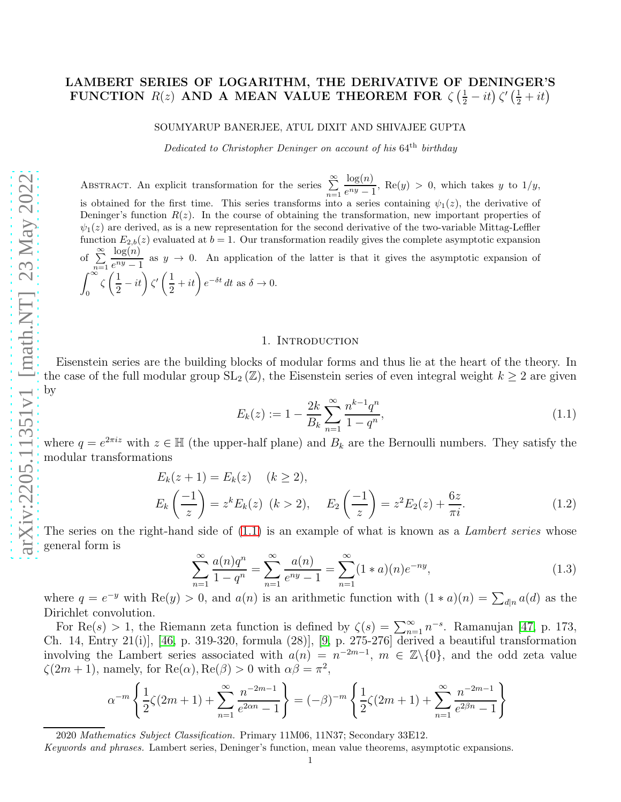# LAMBERT SERIES OF LOGARITHM, THE DERIVATIVE OF DENINGER'S FUNCTION  $R(z)$  AND A MEAN VALUE THEOREM FOR  $\zeta(\frac{1}{2} - it) \zeta'(\frac{1}{2} + it)$

#### SOUMYARUP BANERJEE, ATUL DIXIT AND SHIVAJEE GUPTA

Dedicated to Christopher Deninger on account of his 64th birthday

ABSTRACT. An explicit transformation for the series  $\sum_{n=1}^{\infty}$  $log(n)$  $\frac{\log(v)}{e^{ny}-1}$ , Re(y) > 0, which takes y to 1/y, is obtained for the first time. This series transforms into a series containing  $\psi_1(z)$ , the derivative of Deninger's function  $R(z)$ . In the course of obtaining the transformation, new important properties of  $\psi_1(z)$  are derived, as is a new representation for the second derivative of the two-variable Mittag-Leffler function  $E_{2,b}(z)$  evaluated at  $b = 1$ . Our transformation readily gives the complete asymptotic expansion of  $\sum_{n=1}^{\infty}$  $log(n)$  $\frac{\log(v)}{e^{ny}-1}$  as  $y \to 0$ . An application of the latter is that it gives the asymptotic expansion of  $\int_0^\infty$ 0  $\zeta\left(\frac{1}{2}\right)$  $\left(\frac{1}{2}-it\right)\zeta'\left(\frac{1}{2}\right)$  $\frac{1}{2} + it$   $e^{-\delta t} dt$  as  $\delta \to 0$ .

#### 1. INTRODUCTION

Eisenstein series are the building blocks of modular forms and thus lie at the heart of the theory. In the case of the full modular group  $SL_2(\mathbb{Z})$ , the Eisenstein series of even integral weight  $k \geq 2$  are given by

<span id="page-0-1"></span><span id="page-0-0"></span>
$$
E_k(z) := 1 - \frac{2k}{B_k} \sum_{n=1}^{\infty} \frac{n^{k-1} q^n}{1 - q^n},
$$
\n(1.1)

where  $q = e^{2\pi i z}$  with  $z \in \mathbb{H}$  (the upper-half plane) and  $B_k$  are the Bernoulli numbers. They satisfy the modular transformations

$$
E_k(z+1) = E_k(z) \quad (k \ge 2),
$$
  
\n
$$
E_k\left(\frac{-1}{z}\right) = z^k E_k(z) \quad (k > 2), \quad E_2\left(\frac{-1}{z}\right) = z^2 E_2(z) + \frac{6z}{\pi i}.
$$
\n(1.2)

The series on the right-hand side of  $(1.1)$  is an example of what is known as a *Lambert series* whose general form is

<span id="page-0-2"></span>
$$
\sum_{n=1}^{\infty} \frac{a(n)q^n}{1-q^n} = \sum_{n=1}^{\infty} \frac{a(n)}{e^{ny}-1} = \sum_{n=1}^{\infty} (1*a)(n)e^{-ny},\tag{1.3}
$$

where  $q = e^{-y}$  with  $\text{Re}(y) > 0$ , and  $a(n)$  is an arithmetic function with  $(1 * a)(n) = \sum_{d|n} a(d)$  as the Dirichlet convolution.

For Re(s) > 1, the Riemann zeta function is defined by  $\zeta(s) = \sum_{n=1}^{\infty} n^{-s}$ . Ramanujan [\[47,](#page-24-0) p. 173, Ch. 14, Entry 21(i)], [\[46,](#page-24-1) p. 319-320, formula (28)], [\[9,](#page-23-0) p. 275-276] derived a beautiful transformation involving the Lambert series associated with  $a(n) = n^{-2m-1}$ ,  $m \in \mathbb{Z}\backslash\{0\}$ , and the odd zeta value  $\zeta(2m+1)$ , namely, for  $\text{Re}(\alpha)$ ,  $\text{Re}(\beta) > 0$  with  $\alpha\beta = \pi^2$ ,

$$
\alpha^{-m} \left\{ \frac{1}{2} \zeta(2m+1) + \sum_{n=1}^{\infty} \frac{n^{-2m-1}}{e^{2\alpha n} - 1} \right\} = (-\beta)^{-m} \left\{ \frac{1}{2} \zeta(2m+1) + \sum_{n=1}^{\infty} \frac{n^{-2m-1}}{e^{2\beta n} - 1} \right\}
$$

Keywords and phrases. Lambert series, Deninger's function, mean value theorems, asymptotic expansions.

<sup>2020</sup> Mathematics Subject Classification. Primary 11M06, 11N37; Secondary 33E12.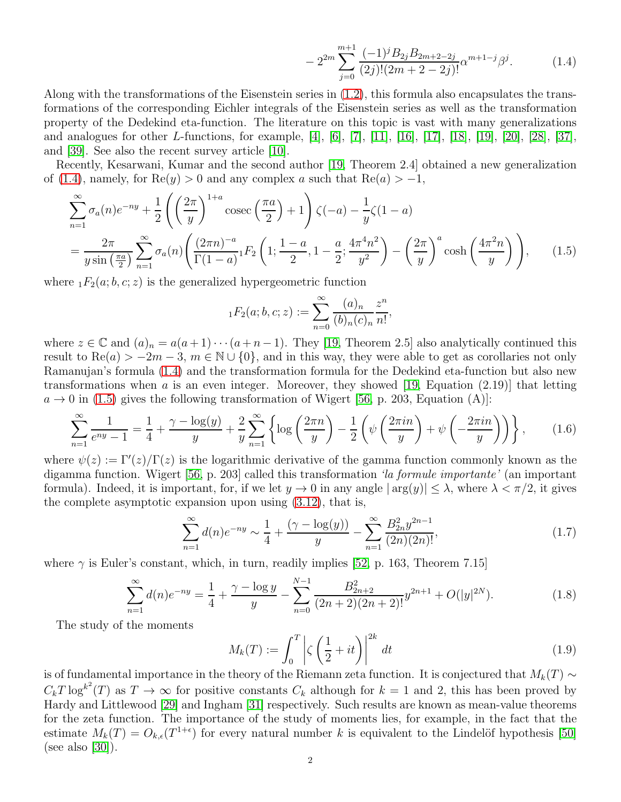<span id="page-1-1"></span><span id="page-1-0"></span>
$$
-2^{2m} \sum_{j=0}^{m+1} \frac{(-1)^j B_{2j} B_{2m+2-2j}}{(2j)! (2m+2-2j)!} \alpha^{m+1-j} \beta^j.
$$
 (1.4)

Along with the transformations of the Eisenstein series in [\(1.2\)](#page-0-1), this formula also encapsulates the transformations of the corresponding Eichler integrals of the Eisenstein series as well as the transformation property of the Dedekind eta-function. The literature on this topic is vast with many generalizations and analogues for other L-functions, for example, [\[4\]](#page-23-1), [\[6\]](#page-23-2), [\[7\]](#page-23-3), [\[11\]](#page-23-4), [\[16\]](#page-23-5), [\[17\]](#page-23-6), [\[18\]](#page-23-7), [\[19\]](#page-23-8), [\[20\]](#page-23-9), [\[28\]](#page-23-10), [\[37\]](#page-24-2), and [\[39\]](#page-24-3). See also the recent survey article [\[10\]](#page-23-11).

Recently, Kesarwani, Kumar and the second author [\[19,](#page-23-8) Theorem 2.4] obtained a new generalization of [\(1.4\)](#page-1-0), namely, for  $\text{Re}(y) > 0$  and any complex a such that  $\text{Re}(a) > -1$ ,

$$
\sum_{n=1}^{\infty} \sigma_a(n) e^{-ny} + \frac{1}{2} \left( \left( \frac{2\pi}{y} \right)^{1+a} \csc\left( \frac{\pi a}{2} \right) + 1 \right) \zeta(-a) - \frac{1}{y} \zeta(1-a)
$$
  
= 
$$
\frac{2\pi}{y \sin\left( \frac{\pi a}{2} \right)} \sum_{n=1}^{\infty} \sigma_a(n) \left( \frac{(2\pi n)^{-a}}{\Gamma(1-a)} {}_{1}F_2 \left( 1; \frac{1-a}{2}, 1 - \frac{a}{2}; \frac{4\pi^4 n^2}{y^2} \right) - \left( \frac{2\pi}{y} \right)^a \cosh\left( \frac{4\pi^2 n}{y} \right) \right), \qquad (1.5)
$$

where  $_1F_2(a; b, c; z)$  is the generalized hypergeometric function

<span id="page-1-5"></span>
$$
_1F_2(a;b,c;z) := \sum_{n=0}^{\infty} \frac{(a)_n}{(b)_n(c)_n} \frac{z^n}{n!},
$$

where  $z \in \mathbb{C}$  and  $(a)_n = a(a+1)\cdots(a+n-1)$ . They [\[19,](#page-23-8) Theorem 2.5] also analytically continued this result to  $\text{Re}(a) > -2m - 3$ ,  $m \in \mathbb{N} \cup \{0\}$ , and in this way, they were able to get as corollaries not only Ramanujan's formula [\(1.4\)](#page-1-0) and the transformation formula for the Dedekind eta-function but also new transformations when a is an even integer. Moreover, they showed [\[19,](#page-23-8) Equation  $(2.19)$ ] that letting  $a \to 0$  in [\(1.5\)](#page-1-1) gives the following transformation of Wigert [\[56,](#page-24-4) p. 203, Equation (A)]:

$$
\sum_{n=1}^{\infty} \frac{1}{e^{ny} - 1} = \frac{1}{4} + \frac{\gamma - \log(y)}{y} + \frac{2}{y} \sum_{n=1}^{\infty} \left\{ \log \left( \frac{2\pi n}{y} \right) - \frac{1}{2} \left( \psi \left( \frac{2\pi i n}{y} \right) + \psi \left( -\frac{2\pi i n}{y} \right) \right) \right\},
$$
(1.6)

where  $\psi(z) := \Gamma'(z)/\Gamma(z)$  is the logarithmic derivative of the gamma function commonly known as the digamma function. Wigert [\[56,](#page-24-4) p. 203] called this transformation 'la formule importante' (an important formula). Indeed, it is important, for, if we let  $y \to 0$  in any angle  $|\arg(y)| \leq \lambda$ , where  $\lambda < \pi/2$ , it gives the complete asymptotic expansion upon using [\(3.12\)](#page-8-0), that is,

$$
\sum_{n=1}^{\infty} d(n)e^{-ny} \sim \frac{1}{4} + \frac{(\gamma - \log(y))}{y} - \sum_{n=1}^{\infty} \frac{B_{2n}^2 y^{2n-1}}{(2n)(2n)!},
$$
\n(1.7)

where  $\gamma$  is Euler's constant, which, in turn, readily implies [\[52,](#page-24-5) p. 163, Theorem 7.15]

$$
\sum_{n=1}^{\infty} d(n)e^{-ny} = \frac{1}{4} + \frac{\gamma - \log y}{y} - \sum_{n=0}^{N-1} \frac{B_{2n+2}^2}{(2n+2)(2n+2)!} y^{2n+1} + O(|y|^{2N}).\tag{1.8}
$$

The study of the moments

<span id="page-1-4"></span><span id="page-1-3"></span><span id="page-1-2"></span>
$$
M_k(T) := \int_0^T \left| \zeta \left( \frac{1}{2} + it \right) \right|^{2k} dt \tag{1.9}
$$

is of fundamental importance in the theory of the Riemann zeta function. It is conjectured that  $M_k(T) \sim$  $C_kT \log^{k^2}(T)$  as  $T \to \infty$  for positive constants  $C_k$  although for  $k = 1$  and 2, this has been proved by Hardy and Littlewood [\[29\]](#page-23-12) and Ingham [\[31\]](#page-23-13) respectively. Such results are known as mean-value theorems for the zeta function. The importance of the study of moments lies, for example, in the fact that the estimate  $M_k(T) = O_{k,\epsilon}(T^{1+\epsilon})$  for every natural number k is equivalent to the Lindelöf hypothesis [\[50\]](#page-24-6) (see also [\[30\]](#page-23-14)).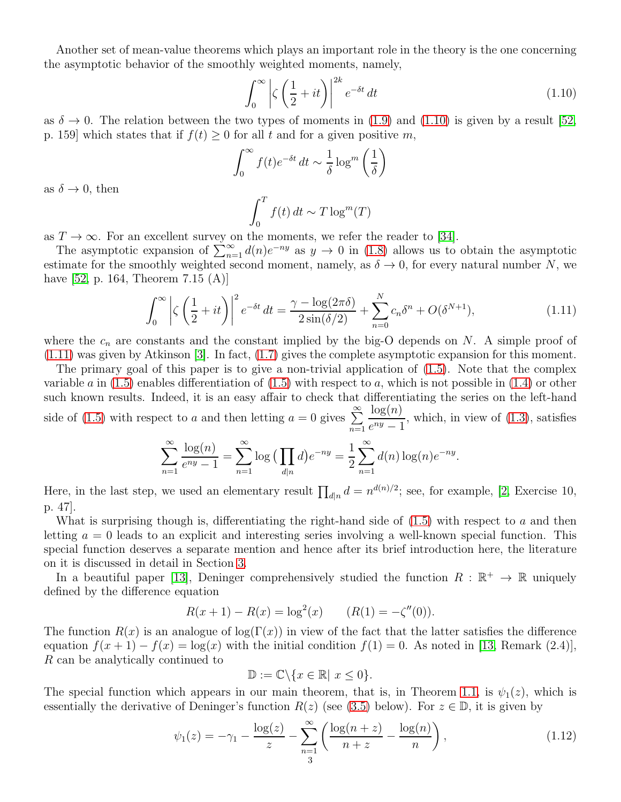Another set of mean-value theorems which plays an important role in the theory is the one concerning the asymptotic behavior of the smoothly weighted moments, namely,

<span id="page-2-0"></span>
$$
\int_0^\infty \left| \zeta \left( \frac{1}{2} + it \right) \right|^{2k} e^{-\delta t} dt \tag{1.10}
$$

as  $\delta \to 0$ . The relation between the two types of moments in [\(1.9\)](#page-1-2) and [\(1.10\)](#page-2-0) is given by a result [\[52,](#page-24-5) p. 159] which states that if  $f(t) \geq 0$  for all t and for a given positive m,

$$
\int_0^\infty f(t)e^{-\delta t} dt \sim \frac{1}{\delta} \log^m \left(\frac{1}{\delta}\right)
$$

as  $\delta \to 0$ , then

<span id="page-2-1"></span>
$$
\int_0^T f(t) dt \sim T \log^m(T)
$$

as  $T \to \infty$ . For an excellent survey on the moments, we refer the reader to [\[34\]](#page-24-7).

The asymptotic expansion of  $\sum_{n=1}^{\infty} d(n)e^{-ny}$  as  $y \to 0$  in [\(1.8\)](#page-1-3) allows us to obtain the asymptotic estimate for the smoothly weighted second moment, namely, as  $\delta \to 0$ , for every natural number N, we have [\[52,](#page-24-5) p. 164, Theorem 7.15 (A)]

$$
\int_0^\infty \left| \zeta \left( \frac{1}{2} + it \right) \right|^2 e^{-\delta t} dt = \frac{\gamma - \log(2\pi\delta)}{2\sin(\delta/2)} + \sum_{n=0}^N c_n \delta^n + O(\delta^{N+1}),\tag{1.11}
$$

where the  $c_n$  are constants and the constant implied by the big-O depends on N. A simple proof of [\(1.11\)](#page-2-1) was given by Atkinson [\[3\]](#page-23-15). In fact, [\(1.7\)](#page-1-4) gives the complete asymptotic expansion for this moment.

The primary goal of this paper is to give a non-trivial application of [\(1.5\)](#page-1-1). Note that the complex variable a in  $(1.5)$  enables differentiation of  $(1.5)$  with respect to a, which is not possible in  $(1.4)$  or other such known results. Indeed, it is an easy affair to check that differentiating the series on the left-hand side of [\(1.5\)](#page-1-1) with respect to a and then letting  $a = 0$  gives  $\sum^{\infty}$  $n=1$  $log(n)$  $\frac{\log(v)}{e^{ny}-1}$ , which, in view of [\(1.3\)](#page-0-2), satisfies

$$
\sum_{n=1}^{\infty} \frac{\log(n)}{e^{ny} - 1} = \sum_{n=1}^{\infty} \log \left( \prod_{d|n} d \right) e^{-ny} = \frac{1}{2} \sum_{n=1}^{\infty} d(n) \log(n) e^{-ny}.
$$

Here, in the last step, we used an elementary result  $\prod_{d|n} d = n^{d(n)/2}$ ; see, for example, [\[2,](#page-23-16) Exercise 10, p. 47].

What is surprising though is, differentiating the right-hand side of  $(1.5)$  with respect to a and then letting  $a = 0$  leads to an explicit and interesting series involving a well-known special function. This special function deserves a separate mention and hence after its brief introduction here, the literature on it is discussed in detail in Section [3.](#page-5-0)

In a beautiful paper [\[13\]](#page-23-17), Deninger comprehensively studied the function  $R : \mathbb{R}^+ \to \mathbb{R}$  uniquely defined by the difference equation

$$
R(x + 1) - R(x) = \log^{2}(x) \qquad (R(1) = -\zeta''(0)).
$$

The function  $R(x)$  is an analogue of log(Γ(x)) in view of the fact that the latter satisfies the difference equation  $f(x+1) - f(x) = \log(x)$  with the initial condition  $f(1) = 0$ . As noted in [\[13,](#page-23-17) Remark (2.4)], R can be analytically continued to

$$
\mathbb{D} := \mathbb{C} \backslash \{x \in \mathbb{R} | x \le 0\}.
$$

The special function which appears in our main theorem, that is, in Theorem [1.1,](#page-3-0) is  $\psi_1(z)$ , which is essentially the derivative of Deninger's function  $R(z)$  (see [\(3.5\)](#page-6-0) below). For  $z \in \mathbb{D}$ , it is given by

<span id="page-2-2"></span>
$$
\psi_1(z) = -\gamma_1 - \frac{\log(z)}{z} - \sum_{\substack{n=1\\3}}^{\infty} \left( \frac{\log(n+z)}{n+z} - \frac{\log(n)}{n} \right),\tag{1.12}
$$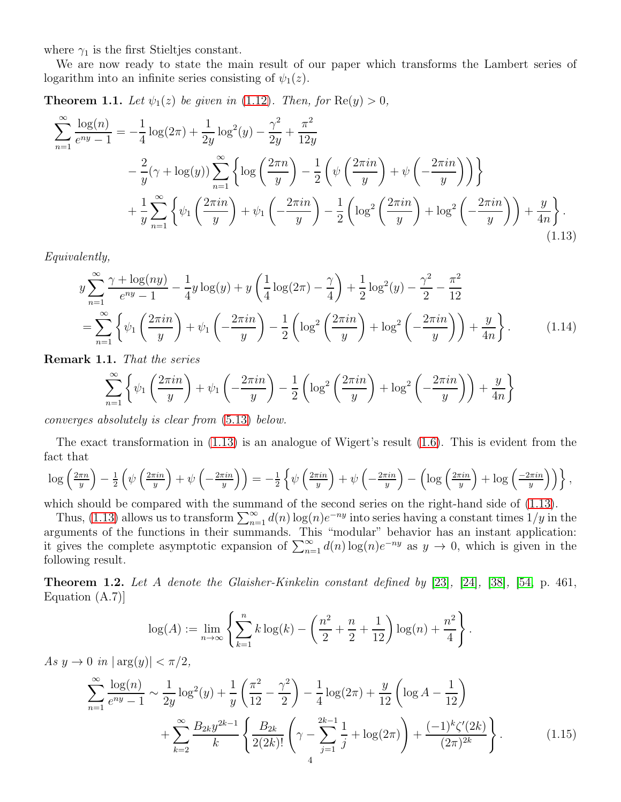where  $\gamma_1$  is the first Stieltjes constant.

We are now ready to state the main result of our paper which transforms the Lambert series of logarithm into an infinite series consisting of  $\psi_1(z)$ .

<span id="page-3-0"></span>**Theorem 1.1.** Let  $\psi_1(z)$  be given in [\(1.12\)](#page-2-2). Then, for  $\text{Re}(y) > 0$ ,

$$
\sum_{n=1}^{\infty} \frac{\log(n)}{e^{ny} - 1} = -\frac{1}{4} \log(2\pi) + \frac{1}{2y} \log^{2}(y) - \frac{\gamma^{2}}{2y} + \frac{\pi^{2}}{12y} \n- \frac{2}{y} (\gamma + \log(y)) \sum_{n=1}^{\infty} \left\{ \log \left( \frac{2\pi n}{y} \right) - \frac{1}{2} \left( \psi \left( \frac{2\pi i n}{y} \right) + \psi \left( -\frac{2\pi i n}{y} \right) \right) \right\} \n+ \frac{1}{y} \sum_{n=1}^{\infty} \left\{ \psi_{1} \left( \frac{2\pi i n}{y} \right) + \psi_{1} \left( -\frac{2\pi i n}{y} \right) - \frac{1}{2} \left( \log^{2} \left( \frac{2\pi i n}{y} \right) + \log^{2} \left( -\frac{2\pi i n}{y} \right) \right) + \frac{y}{4n} \right\}.
$$
\n(1.13)

Equivalently,

$$
y\sum_{n=1}^{\infty} \frac{\gamma + \log(ny)}{e^{ny} - 1} - \frac{1}{4}y\log(y) + y\left(\frac{1}{4}\log(2\pi) - \frac{\gamma}{4}\right) + \frac{1}{2}\log^{2}(y) - \frac{\gamma^{2}}{2} - \frac{\pi^{2}}{12}
$$

$$
= \sum_{n=1}^{\infty} \left\{ \psi_{1}\left(\frac{2\pi in}{y}\right) + \psi_{1}\left(-\frac{2\pi in}{y}\right) - \frac{1}{2}\left(\log^{2}\left(\frac{2\pi in}{y}\right) + \log^{2}\left(-\frac{2\pi in}{y}\right)\right) + \frac{y}{4n} \right\}.
$$
(1.14)

Remark 1.1. That the series

<span id="page-3-4"></span><span id="page-3-1"></span>
$$
\sum_{n=1}^{\infty} \left\{ \psi_1 \left( \frac{2\pi i n}{y} \right) + \psi_1 \left( -\frac{2\pi i n}{y} \right) - \frac{1}{2} \left( \log^2 \left( \frac{2\pi i n}{y} \right) + \log^2 \left( -\frac{2\pi i n}{y} \right) \right) + \frac{y}{4n} \right\}
$$

converges absolutely is clear from [\(5.13\)](#page-18-0) below.

The exact transformation in [\(1.13\)](#page-3-1) is an analogue of Wigert's result [\(1.6\)](#page-1-5). This is evident from the fact that

$$
\log\left(\frac{2\pi n}{y}\right) - \frac{1}{2}\left(\psi\left(\frac{2\pi i n}{y}\right) + \psi\left(-\frac{2\pi i n}{y}\right)\right) = -\frac{1}{2}\left\{\psi\left(\frac{2\pi i n}{y}\right) + \psi\left(-\frac{2\pi i n}{y}\right) - \left(\log\left(\frac{2\pi i n}{y}\right) + \log\left(\frac{-2\pi i n}{y}\right)\right)\right\},\
$$

which should be compared with the summand of the second series on the right-hand side of  $(1.13)$ .

Thus, [\(1.13\)](#page-3-1) allows us to transform  $\sum_{n=1}^{\infty} d(n) \log(n) e^{-ny}$  into series having a constant times  $1/y$  in the arguments of the functions in their summands. This "modular" behavior has an instant application: it gives the complete asymptotic expansion of  $\sum_{n=1}^{\infty} d(n) \log(n) e^{-ny}$  as  $y \to 0$ , which is given in the following result.

<span id="page-3-2"></span>Theorem 1.2. Let A denote the Glaisher-Kinkelin constant defined by [\[23\]](#page-23-18), [\[24\]](#page-23-19), [\[38\]](#page-24-8), [\[54,](#page-24-9) p. 461, Equation (A.7)]

<span id="page-3-3"></span>
$$
\log(A) := \lim_{n \to \infty} \left\{ \sum_{k=1}^{n} k \log(k) - \left( \frac{n^2}{2} + \frac{n}{2} + \frac{1}{12} \right) \log(n) + \frac{n^2}{4} \right\}.
$$

As  $y \to 0$  in  $|\arg(y)| < \pi/2$ ,

$$
\sum_{n=1}^{\infty} \frac{\log(n)}{e^{ny} - 1} \sim \frac{1}{2y} \log^2(y) + \frac{1}{y} \left( \frac{\pi^2}{12} - \frac{\gamma^2}{2} \right) - \frac{1}{4} \log(2\pi) + \frac{y}{12} \left( \log A - \frac{1}{12} \right) + \sum_{k=2}^{\infty} \frac{B_{2k} y^{2k-1}}{k} \left\{ \frac{B_{2k}}{2(2k)!} \left( \gamma - \sum_{j=1}^{2k-1} \frac{1}{j} + \log(2\pi) \right) + \frac{(-1)^k \zeta'(2k)}{(2\pi)^{2k}} \right\}.
$$
 (1.15)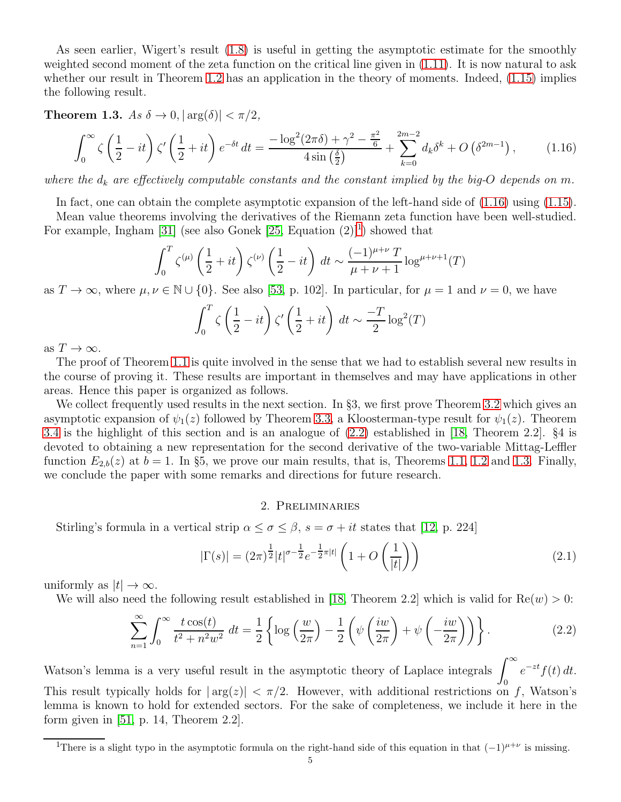As seen earlier, Wigert's result [\(1.8\)](#page-1-3) is useful in getting the asymptotic estimate for the smoothly weighted second moment of the zeta function on the critical line given in [\(1.11\)](#page-2-1). It is now natural to ask whether our result in Theorem [1.2](#page-3-2) has an application in the theory of moments. Indeed,  $(1.15)$  implies the following result.

<span id="page-4-3"></span>**Theorem 1.3.** As  $\delta \to 0$ ,  $|\arg(\delta)| < \pi/2$ ,

$$
\int_0^\infty \zeta \left(\frac{1}{2} - it\right) \zeta' \left(\frac{1}{2} + it\right) e^{-\delta t} dt = \frac{-\log^2(2\pi\delta) + \gamma^2 - \frac{\pi^2}{6}}{4\sin\left(\frac{\delta}{2}\right)} + \sum_{k=0}^{2m-2} d_k \delta^k + O\left(\delta^{2m-1}\right),\tag{1.16}
$$

where the  $d_k$  are effectively computable constants and the constant implied by the big-O depends on m.

In fact, one can obtain the complete asymptotic expansion of the left-hand side of [\(1.16\)](#page-4-0) using [\(1.15\)](#page-3-3).

Mean value theorems involving the derivatives of the Riemann zeta function have been well-studied. For example, Ingham [\[31\]](#page-23-13) (see also Gonek  $[25,$  Equation  $(2)]^1$  $(2)]^1$ ) showed that

$$
\int_0^T \zeta^{(\mu)} \left(\frac{1}{2} + it\right) \zeta^{(\nu)} \left(\frac{1}{2} - it\right) dt \sim \frac{(-1)^{\mu+\nu} T}{\mu+\nu+1} \log^{\mu+\nu+1}(T)
$$

as  $T \to \infty$ , where  $\mu, \nu \in \mathbb{N} \cup \{0\}$ . See also [\[53,](#page-24-10) p. 102]. In particular, for  $\mu = 1$  and  $\nu = 0$ , we have

<span id="page-4-0"></span>
$$
\int_0^T \zeta \left(\frac{1}{2} - it\right) \zeta' \left(\frac{1}{2} + it\right) dt \sim \frac{-T}{2} \log^2(T)
$$

as  $T \to \infty$ .

The proof of Theorem [1.1](#page-3-0) is quite involved in the sense that we had to establish several new results in the course of proving it. These results are important in themselves and may have applications in other areas. Hence this paper is organized as follows.

We collect frequently used results in the next section. In §3, we first prove Theorem [3.2](#page-7-0) which gives an asymptotic expansion of  $\psi_1(z)$  followed by Theorem [3.3,](#page-9-0) a Kloosterman-type result for  $\psi_1(z)$ . Theorem [3.4](#page-10-0) is the highlight of this section and is an analogue of [\(2.2\)](#page-4-2) established in [\[18,](#page-23-7) Theorem 2.2]. §4 is devoted to obtaining a new representation for the second derivative of the two-variable Mittag-Leffler function  $E_{2,b}(z)$  at  $b = 1$ . In §5, we prove our main results, that is, Theorems [1.1,](#page-3-0) [1.2](#page-3-2) and [1.3.](#page-4-3) Finally, we conclude the paper with some remarks and directions for future research.

#### <span id="page-4-2"></span>2. Preliminaries

Stirling's formula in a vertical strip  $\alpha \leq \sigma \leq \beta$ ,  $s = \sigma + it$  states that [\[12,](#page-23-21) p. 224]

<span id="page-4-4"></span>
$$
|\Gamma(s)| = (2\pi)^{\frac{1}{2}} |t|^{\sigma - \frac{1}{2}} e^{-\frac{1}{2}\pi|t|} \left(1 + O\left(\frac{1}{|t|}\right)\right)
$$
 (2.1)

uniformly as  $|t| \to \infty$ .

We will also need the following result established in [\[18,](#page-23-7) Theorem 2.2] which is valid for  $\text{Re}(w) > 0$ :

$$
\sum_{n=1}^{\infty} \int_0^{\infty} \frac{t \cos(t)}{t^2 + n^2 w^2} dt = \frac{1}{2} \left\{ \log \left( \frac{w}{2\pi} \right) - \frac{1}{2} \left( \psi \left( \frac{iw}{2\pi} \right) + \psi \left( -\frac{iw}{2\pi} \right) \right) \right\}.
$$
 (2.2)

Watson's lemma is a very useful result in the asymptotic theory of Laplace integrals  $\int^{\infty}$ 0  $e^{-zt}f(t) dt$ . This result typically holds for  $|\arg(z)| < \pi/2$ . However, with additional restrictions on f, Watson's lemma is known to hold for extended sectors. For the sake of completeness, we include it here in the form given in  $[51, p. 14, Theorem 2.2].$ 

<span id="page-4-1"></span><sup>&</sup>lt;sup>1</sup>There is a slight typo in the asymptotic formula on the right-hand side of this equation in that  $(-1)^{\mu+\nu}$  is missing.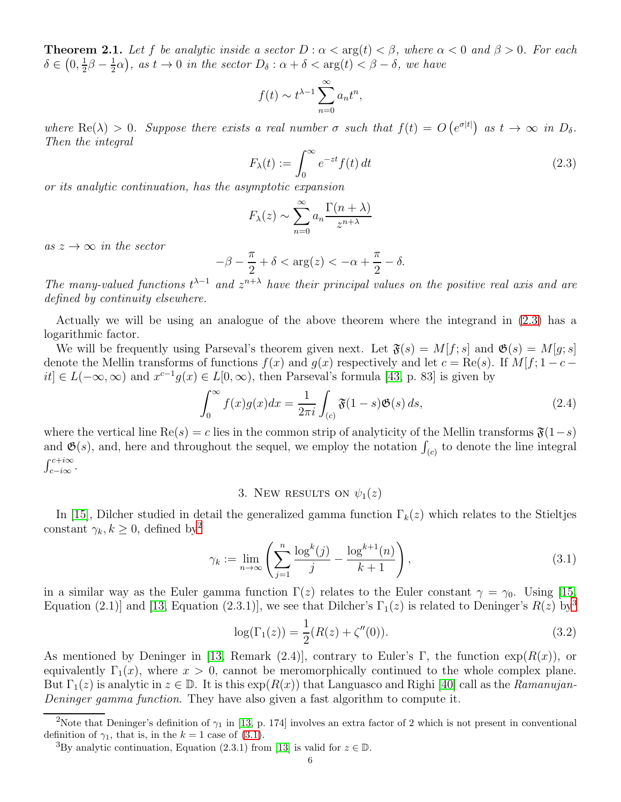<span id="page-5-6"></span>**Theorem 2.1.** Let f be analytic inside a sector  $D : \alpha < \arg(t) < \beta$ , where  $\alpha < 0$  and  $\beta > 0$ . For each  $\delta \in \left(0, \frac{1}{2}\right)$  $\frac{1}{2}\beta - \frac{1}{2}$  $(\frac{1}{2}\alpha)$ , as  $t \to 0$  in the sector  $D_{\delta} : \alpha + \delta < \arg(t) < \beta - \delta$ , we have

$$
f(t) \sim t^{\lambda - 1} \sum_{n=0}^{\infty} a_n t^n,
$$

where  $\text{Re}(\lambda) > 0$ . Suppose there exists a real number  $\sigma$  such that  $f(t) = O(e^{\sigma|t|})$  as  $t \to \infty$  in  $D_{\delta}$ . Then the integral

<span id="page-5-1"></span>
$$
F_{\lambda}(t) := \int_0^{\infty} e^{-zt} f(t) dt
$$
\n(2.3)

or its analytic continuation, has the asymptotic expansion

$$
F_{\lambda}(z) \sim \sum_{n=0}^{\infty} a_n \frac{\Gamma(n+\lambda)}{z^{n+\lambda}}
$$

as  $z \to \infty$  in the sector

$$
-\beta - \frac{\pi}{2} + \delta < \arg(z) < -\alpha + \frac{\pi}{2} - \delta.
$$

The many-valued functions  $t^{\lambda-1}$  and  $z^{n+\lambda}$  have their principal values on the positive real axis and are defined by continuity elsewhere.

Actually we will be using an analogue of the above theorem where the integrand in [\(2.3\)](#page-5-1) has a logarithmic factor.

We will be frequently using Parseval's theorem given next. Let  $\mathfrak{F}(s) = M[f; s]$  and  $\mathfrak{G}(s) = M[g; s]$ denote the Mellin transforms of functions  $f(x)$  and  $g(x)$  respectively and let  $c = \text{Re}(s)$ . If  $M[f; 1 - c$  $it$  ∈  $L(-\infty, \infty)$  and  $x^{c-1}g(x) \in L[0, \infty)$ , then Parseval's formula [\[43,](#page-24-12) p. 83] is given by

<span id="page-5-7"></span>
$$
\int_0^\infty f(x)g(x)dx = \frac{1}{2\pi i} \int_{(c)} \mathfrak{F}(1-s)\mathfrak{G}(s) ds,
$$
\n(2.4)

where the vertical line  $\text{Re}(s) = c$  lies in the common strip of analyticity of the Mellin transforms  $\mathfrak{F}(1-s)$ and  $\mathfrak{G}(s)$ , and, here and throughout the sequel, we employ the notation  $\int_{(c)}$  to denote the line integral  $\int c+i\infty$  $J_{c-i\infty}$ .

## 3. New RESULTS ON  $\psi_1(z)$

<span id="page-5-0"></span>In [\[15\]](#page-23-22), Dilcher studied in detail the generalized gamma function  $\Gamma_k(z)$  which relates to the Stieltjes constant  $\gamma_k, k \geq 0$ , defined by<sup>[2](#page-5-2)</sup>

<span id="page-5-4"></span>
$$
\gamma_k := \lim_{n \to \infty} \left( \sum_{j=1}^n \frac{\log^k(j)}{j} - \frac{\log^{k+1}(n)}{k+1} \right),\tag{3.1}
$$

in a similar way as the Euler gamma function  $\Gamma(z)$  relates to the Euler constant  $\gamma = \gamma_0$ . Using [\[15,](#page-23-22) Equation (2.1)] and [\[13,](#page-23-17) Equation (2.[3](#page-5-3).1)], we see that Dilcher's  $\Gamma_1(z)$  is related to Deninger's  $R(z)$  by<sup>3</sup>

<span id="page-5-5"></span>
$$
\log(\Gamma_1(z)) = \frac{1}{2}(R(z) + \zeta''(0)).
$$
\n(3.2)

As mentioned by Deninger in [\[13,](#page-23-17) Remark (2.4)], contrary to Euler's Γ, the function  $\exp(R(x))$ , or equivalently  $\Gamma_1(x)$ , where  $x > 0$ , cannot be meromorphically continued to the whole complex plane. But  $\Gamma_1(z)$  is analytic in  $z \in \mathbb{D}$ . It is this  $\exp(R(x))$  that Languasco and Righi [\[40\]](#page-24-13) call as the Ramanujan-Deninger gamma function. They have also given a fast algorithm to compute it.

<sup>&</sup>lt;sup>2</sup>Note that Deninger's definition of  $\gamma_1$  in [\[13,](#page-23-17) p. 174] involves an extra factor of 2 which is not present in conventional definition of  $\gamma_1$ , that is, in the  $k = 1$  case of [\(3.1\)](#page-5-4).

<span id="page-5-3"></span><span id="page-5-2"></span><sup>&</sup>lt;sup>3</sup>By analytic continuation, Equation (2.3.1) from [\[13\]](#page-23-17) is valid for  $z \in \mathbb{D}$ .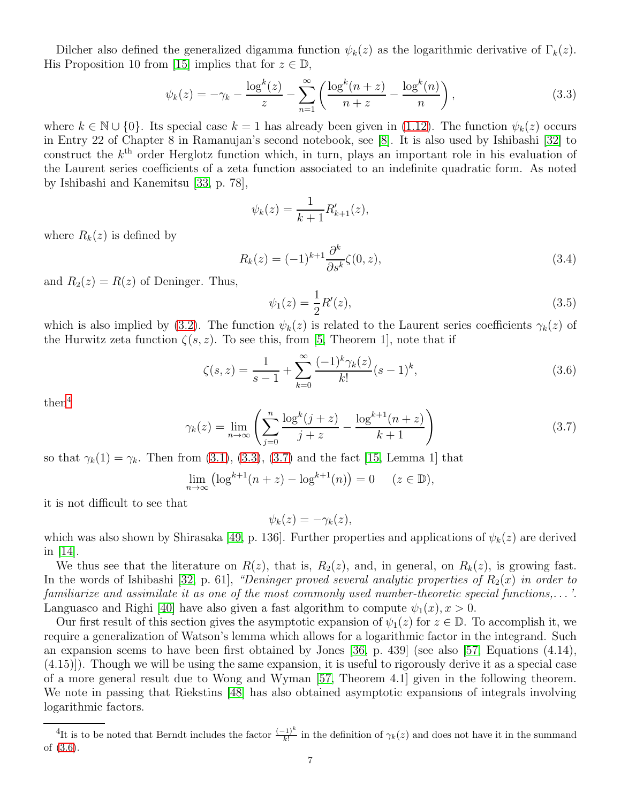Dilcher also defined the generalized digamma function  $\psi_k(z)$  as the logarithmic derivative of  $\Gamma_k(z)$ . His Proposition 10 from [\[15\]](#page-23-22) implies that for  $z \in \mathbb{D}$ ,

<span id="page-6-2"></span>
$$
\psi_k(z) = -\gamma_k - \frac{\log^k(z)}{z} - \sum_{n=1}^{\infty} \left( \frac{\log^k(n+z)}{n+z} - \frac{\log^k(n)}{n} \right),\tag{3.3}
$$

where  $k \in \mathbb{N} \cup \{0\}$ . Its special case  $k = 1$  has already been given in [\(1.12\)](#page-2-2). The function  $\psi_k(z)$  occurs in Entry 22 of Chapter 8 in Ramanujan's second notebook, see [\[8\]](#page-23-23). It is also used by Ishibashi [\[32\]](#page-24-14) to construct the  $k<sup>th</sup>$  order Herglotz function which, in turn, plays an important role in his evaluation of the Laurent series coefficients of a zeta function associated to an indefinite quadratic form. As noted by Ishibashi and Kanemitsu [\[33,](#page-24-15) p. 78],

$$
\psi_k(z) = \frac{1}{k+1} R'_{k+1}(z),
$$

where  $R_k(z)$  is defined by

<span id="page-6-5"></span>
$$
R_k(z) = (-1)^{k+1} \frac{\partial^k}{\partial s^k} \zeta(0, z), \qquad (3.4)
$$

and  $R_2(z) = R(z)$  of Deninger. Thus,

<span id="page-6-0"></span>
$$
\psi_1(z) = \frac{1}{2}R'(z),\tag{3.5}
$$

which is also implied by [\(3.2\)](#page-5-5). The function  $\psi_k(z)$  is related to the Laurent series coefficients  $\gamma_k(z)$  of the Hurwitz zeta function  $\zeta(s, z)$ . To see this, from [\[5,](#page-23-24) Theorem 1], note that if

<span id="page-6-4"></span>
$$
\zeta(s,z) = \frac{1}{s-1} + \sum_{k=0}^{\infty} \frac{(-1)^k \gamma_k(z)}{k!} (s-1)^k,
$$
\n(3.6)

then<sup>[4](#page-6-1)</sup>

<span id="page-6-3"></span>
$$
\gamma_k(z) = \lim_{n \to \infty} \left( \sum_{j=0}^n \frac{\log^k(j+z)}{j+z} - \frac{\log^{k+1}(n+z)}{k+1} \right) \tag{3.7}
$$

so that  $\gamma_k(1) = \gamma_k$ . Then from [\(3.1\)](#page-5-4), [\(3.3\)](#page-6-2), [\(3.7\)](#page-6-3) and the fact [\[15,](#page-23-22) Lemma 1] that

$$
\lim_{n \to \infty} \left( \log^{k+1}(n+z) - \log^{k+1}(n) \right) = 0 \quad (z \in \mathbb{D}),
$$

it is not difficult to see that

$$
\psi_k(z) = -\gamma_k(z),
$$

which was also shown by Shirasaka [\[49,](#page-24-16) p. 136]. Further properties and applications of  $\psi_k(z)$  are derived in  $|14|$ .

We thus see that the literature on  $R(z)$ , that is,  $R_2(z)$ , and, in general, on  $R_k(z)$ , is growing fast. In the words of Ishibashi [\[32,](#page-24-14) p. 61], "Deninger proved several analytic properties of  $R_2(x)$  in order to familiarize and assimilate it as one of the most commonly used number-theoretic special functions,. . . '. Languasco and Righi [\[40\]](#page-24-13) have also given a fast algorithm to compute  $\psi_1(x), x > 0$ .

Our first result of this section gives the asymptotic expansion of  $\psi_1(z)$  for  $z \in \mathbb{D}$ . To accomplish it, we require a generalization of Watson's lemma which allows for a logarithmic factor in the integrand. Such an expansion seems to have been first obtained by Jones [\[36,](#page-24-17) p. 439] (see also [\[57,](#page-24-18) Equations (4.14), (4.15)]). Though we will be using the same expansion, it is useful to rigorously derive it as a special case of a more general result due to Wong and Wyman [\[57,](#page-24-18) Theorem 4.1] given in the following theorem. We note in passing that Riekstins [\[48\]](#page-24-19) has also obtained asymptotic expansions of integrals involving logarithmic factors.

<span id="page-6-1"></span><sup>&</sup>lt;sup>4</sup>It is to be noted that Berndt includes the factor  $\frac{(-1)^k}{k!}$  in the definition of  $\gamma_k(z)$  and does not have it in the summand of [\(3.6\)](#page-6-4).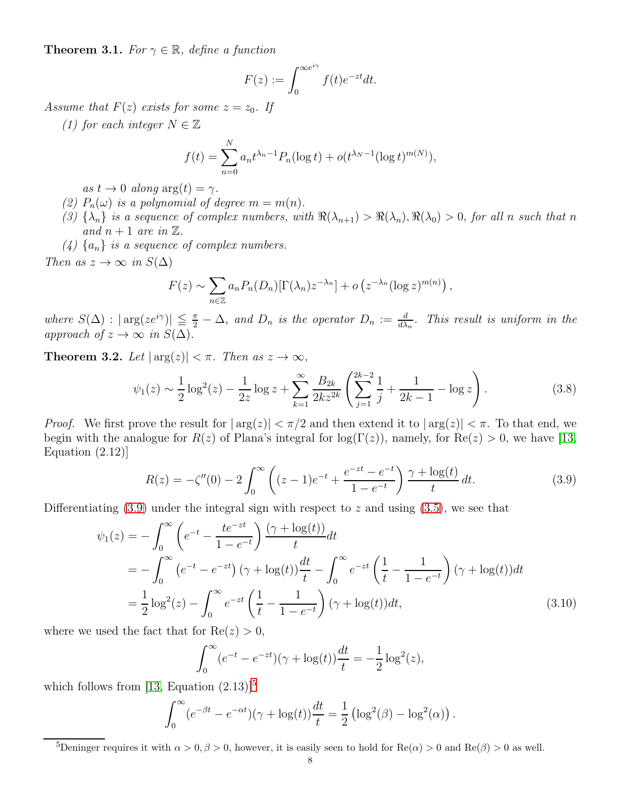<span id="page-7-3"></span>**Theorem 3.1.** For  $\gamma \in \mathbb{R}$ , define a function

$$
F(z) := \int_0^{\infty e^{i\gamma}} f(t)e^{-zt}dt.
$$

Assume that  $F(z)$  exists for some  $z = z_0$ . If

(1) for each integer  $N \in \mathbb{Z}$ 

$$
f(t) = \sum_{n=0}^{N} a_n t^{\lambda_n - 1} P_n(\log t) + o(t^{\lambda_N - 1} (\log t)^{m(N)}),
$$

as  $t \to 0$  along  $\arg(t) = \gamma$ .

- (2)  $P_n(\omega)$  is a polynomial of degree  $m = m(n)$ .
- (3)  $\{\lambda_n\}$  is a sequence of complex numbers, with  $\Re(\lambda_{n+1}) > \Re(\lambda_n), \Re(\lambda_0) > 0$ , for all n such that n and  $n + 1$  are in  $\mathbb{Z}$ .
- $(4)$  {a<sub>n</sub>} is a sequence of complex numbers.

Then as  $z \to \infty$  in  $S(\Delta)$ 

<span id="page-7-4"></span>
$$
F(z) \sim \sum_{n \in \mathbb{Z}} a_n P_n(D_n) [\Gamma(\lambda_n) z^{-\lambda_n}] + o\left(z^{-\lambda_n} (\log z)^{m(n)}\right),
$$

where  $S(\Delta)$  :  $|\arg(ze^{i\gamma})|\leq \frac{\pi}{2}-\Delta$ , and  $D_n$  is the operator  $D_n := \frac{d}{d\lambda_n}$ . This result is uniform in the approach of  $z \to \infty$  in  $S(\Delta)$ .

<span id="page-7-0"></span>**Theorem 3.2.** Let  $|\arg(z)| < \pi$ . Then as  $z \to \infty$ ,

$$
\psi_1(z) \sim \frac{1}{2} \log^2(z) - \frac{1}{2z} \log z + \sum_{k=1}^{\infty} \frac{B_{2k}}{2kz^{2k}} \left( \sum_{j=1}^{2k-2} \frac{1}{j} + \frac{1}{2k-1} - \log z \right).
$$
 (3.8)

*Proof.* We first prove the result for  $|\arg(z)| < \pi/2$  and then extend it to  $|\arg(z)| < \pi$ . To that end, we begin with the analogue for  $R(z)$  of Plana's integral for  $log(\Gamma(z))$ , namely, for  $Re(z) > 0$ , we have [\[13,](#page-23-17) Equation (2.12)]

$$
R(z) = -\zeta''(0) - 2\int_0^\infty \left( (z-1)e^{-t} + \frac{e^{-zt} - e^{-t}}{1 - e^{-t}} \right) \frac{\gamma + \log(t)}{t} dt.
$$
 (3.9)

Differentiating  $(3.9)$  under the integral sign with respect to z and using  $(3.5)$ , we see that

$$
\psi_1(z) = -\int_0^\infty \left( e^{-t} - \frac{te^{-zt}}{1 - e^{-t}} \right) \frac{(\gamma + \log(t))}{t} dt \n= -\int_0^\infty \left( e^{-t} - e^{-zt} \right) (\gamma + \log(t)) \frac{dt}{t} - \int_0^\infty e^{-zt} \left( \frac{1}{t} - \frac{1}{1 - e^{-t}} \right) (\gamma + \log(t)) dt \n= \frac{1}{2} \log^2(z) - \int_0^\infty e^{-zt} \left( \frac{1}{t} - \frac{1}{1 - e^{-t}} \right) (\gamma + \log(t)) dt,
$$
\n(3.10)

where we used the fact that for  $Re(z) > 0$ ,

<span id="page-7-5"></span><span id="page-7-1"></span>
$$
\int_0^{\infty} (e^{-t} - e^{-zt}) (\gamma + \log(t)) \frac{dt}{t} = -\frac{1}{2} \log^2(z),
$$

which follows from [\[13,](#page-23-17) Equation  $(2.13)$ ]<sup>[5](#page-7-2)</sup>

$$
\int_0^\infty (e^{-\beta t} - e^{-\alpha t})(\gamma + \log(t))\frac{dt}{t} = \frac{1}{2} \left( \log^2(\beta) - \log^2(\alpha) \right).
$$

<span id="page-7-2"></span><sup>5</sup>Deninger requires it with  $\alpha > 0, \beta > 0$ , however, it is easily seen to hold for Re( $\alpha$ ) > 0 and Re( $\beta$ ) > 0 as well.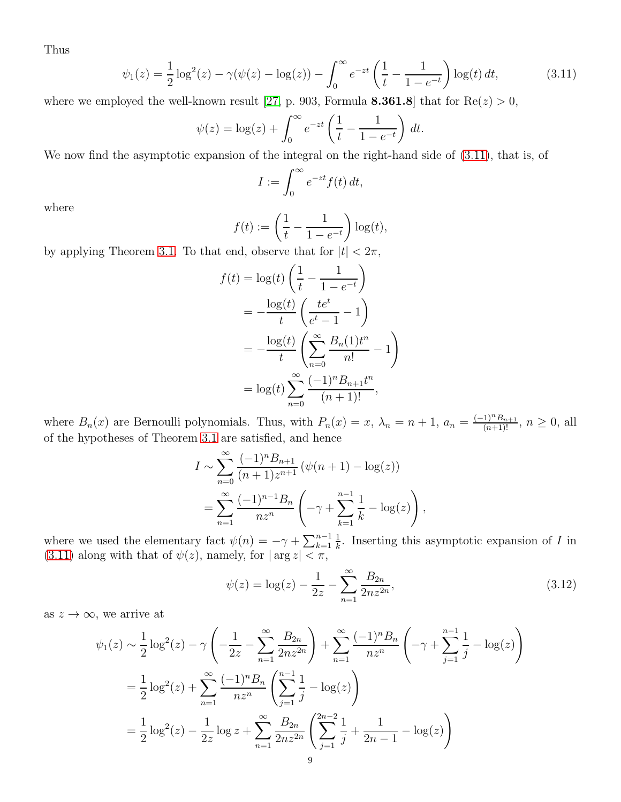Thus

$$
\psi_1(z) = \frac{1}{2}\log^2(z) - \gamma(\psi(z) - \log(z)) - \int_0^\infty e^{-zt} \left(\frac{1}{t} - \frac{1}{1 - e^{-t}}\right) \log(t) dt,\tag{3.11}
$$

where we employed the well-known result [\[27,](#page-23-26) p. 903, Formula 8.361.8] that for  $\text{Re}(z) > 0$ ,

$$
\psi(z) = \log(z) + \int_0^\infty e^{-zt} \left( \frac{1}{t} - \frac{1}{1 - e^{-t}} \right) dt.
$$

We now find the asymptotic expansion of the integral on the right-hand side of [\(3.11\)](#page-8-1), that is, of

<span id="page-8-1"></span>
$$
I := \int_0^\infty e^{-zt} f(t) \, dt,
$$

where

$$
f(t) := \left(\frac{1}{t} - \frac{1}{1 - e^{-t}}\right) \log(t),
$$

by applying Theorem [3.1.](#page-7-3) To that end, observe that for  $|t| < 2\pi$ ,

$$
f(t) = \log(t) \left( \frac{1}{t} - \frac{1}{1 - e^{-t}} \right)
$$
  
=  $-\frac{\log(t)}{t} \left( \frac{te^{t}}{e^{t} - 1} - 1 \right)$   
=  $-\frac{\log(t)}{t} \left( \sum_{n=0}^{\infty} \frac{B_n(1)t^n}{n!} - 1 \right)$   
=  $\log(t) \sum_{n=0}^{\infty} \frac{(-1)^n B_{n+1}t^n}{(n+1)!}$ ,

where  $B_n(x)$  are Bernoulli polynomials. Thus, with  $P_n(x) = x$ ,  $\lambda_n = n + 1$ ,  $a_n = \frac{(-1)^n B_{n+1}}{(n+1)!}$ ,  $n \ge 0$ , all of the hypotheses of Theorem [3.1](#page-7-3) are satisfied, and hence

$$
I \sim \sum_{n=0}^{\infty} \frac{(-1)^n B_{n+1}}{(n+1)z^{n+1}} \left( \psi(n+1) - \log(z) \right)
$$
  
= 
$$
\sum_{n=1}^{\infty} \frac{(-1)^{n-1} B_n}{n z^n} \left( -\gamma + \sum_{k=1}^{n-1} \frac{1}{k} - \log(z) \right),
$$

where we used the elementary fact  $\psi(n) = -\gamma + \sum_{k=1}^{n-1}$ 1  $\frac{1}{k}$ . Inserting this asymptotic expansion of I in [\(3.11\)](#page-8-1) along with that of  $\psi(z)$ , namely, for  $|\arg z| < \pi$ ,

<span id="page-8-0"></span>
$$
\psi(z) = \log(z) - \frac{1}{2z} - \sum_{n=1}^{\infty} \frac{B_{2n}}{2nz^{2n}},
$$
\n(3.12)

as  $z \to \infty$ , we arrive at

$$
\psi_1(z) \sim \frac{1}{2} \log^2(z) - \gamma \left( -\frac{1}{2z} - \sum_{n=1}^{\infty} \frac{B_{2n}}{2nz^{2n}} \right) + \sum_{n=1}^{\infty} \frac{(-1)^n B_n}{nz^n} \left( -\gamma + \sum_{j=1}^{n-1} \frac{1}{j} - \log(z) \right)
$$

$$
= \frac{1}{2} \log^2(z) + \sum_{n=1}^{\infty} \frac{(-1)^n B_n}{nz^n} \left( \sum_{j=1}^{n-1} \frac{1}{j} - \log(z) \right)
$$

$$
= \frac{1}{2} \log^2(z) - \frac{1}{2z} \log z + \sum_{n=1}^{\infty} \frac{B_{2n}}{2nz^{2n}} \left( \sum_{j=1}^{2n-2} \frac{1}{j} + \frac{1}{2n-1} - \log(z) \right)
$$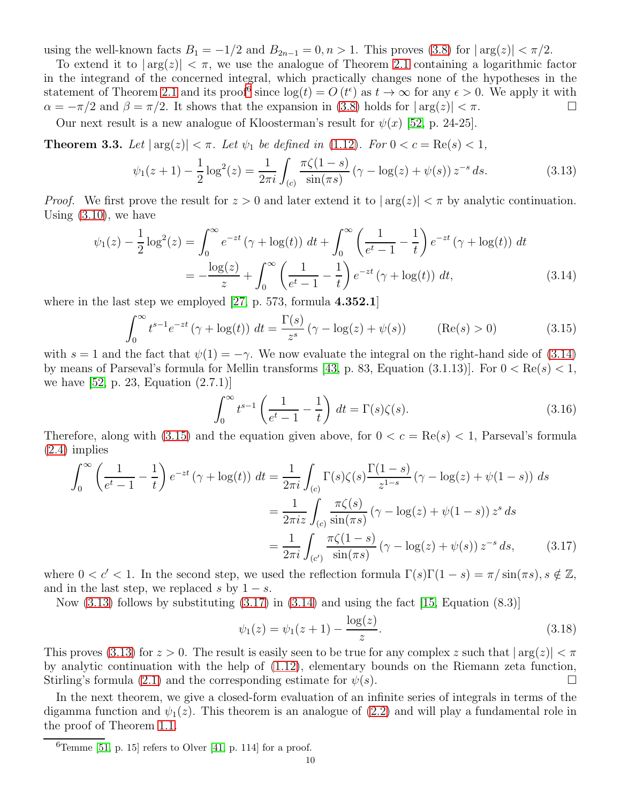using the well-known facts  $B_1 = -1/2$  and  $B_{2n-1} = 0, n > 1$ . This proves [\(3.8\)](#page-7-4) for  $|\arg(z)| < \pi/2$ .

To extend it to  $|\arg(z)| < \pi$ , we use the analogue of Theorem [2.1](#page-5-6) containing a logarithmic factor in the integrand of the concerned integral, which practically changes none of the hypotheses in the statement of Theorem [2.1](#page-5-6) and its proof<sup>[6](#page-9-1)</sup> since  $log(t) = O(t^{\epsilon})$  as  $t \to \infty$  for any  $\epsilon > 0$ . We apply it with  $\alpha = -\pi/2$  and  $\beta = \pi/2$ . It shows that the expansion in [\(3.8\)](#page-7-4) holds for  $|\arg(z)| < \pi$ .

Our next result is a new analogue of Kloosterman's result for  $\psi(x)$  [\[52,](#page-24-5) p. 24-25].

<span id="page-9-0"></span>**Theorem 3.3.** Let  $|\arg(z)| < \pi$ . Let  $\psi_1$  be defined in [\(1.12\)](#page-2-2). For  $0 < c = \text{Re}(s) < 1$ ,

$$
\psi_1(z+1) - \frac{1}{2}\log^2(z) = \frac{1}{2\pi i} \int_{(c)} \frac{\pi \zeta(1-s)}{\sin(\pi s)} \left(\gamma - \log(z) + \psi(s)\right) z^{-s} ds.
$$
 (3.13)

*Proof.* We first prove the result for  $z > 0$  and later extend it to  $|\arg(z)| < \pi$  by analytic continuation. Using [\(3.10\)](#page-7-5), we have

$$
\psi_1(z) - \frac{1}{2}\log^2(z) = \int_0^\infty e^{-zt} \left(\gamma + \log(t)\right) dt + \int_0^\infty \left(\frac{1}{e^t - 1} - \frac{1}{t}\right) e^{-zt} \left(\gamma + \log(t)\right) dt
$$

$$
= -\frac{\log(z)}{z} + \int_0^\infty \left(\frac{1}{e^t - 1} - \frac{1}{t}\right) e^{-zt} \left(\gamma + \log(t)\right) dt, \tag{3.14}
$$

where in the last step we employed  $[27, p. 573,$  formula  $4.352.1$ 

<span id="page-9-3"></span>
$$
\int_0^\infty t^{s-1} e^{-zt} \left( \gamma + \log(t) \right) dt = \frac{\Gamma(s)}{z^s} \left( \gamma - \log(z) + \psi(s) \right) \qquad (\text{Re}(s) > 0)
$$
 (3.15)

with  $s = 1$  and the fact that  $\psi(1) = -\gamma$ . We now evaluate the integral on the right-hand side of [\(3.14\)](#page-9-2) by means of Parseval's formula for Mellin transforms [\[43,](#page-24-12) p. 83, Equation  $(3.1.13)$ ]. For  $0 < \text{Re}(s) < 1$ , we have [\[52,](#page-24-5) p. 23, Equation (2.7.1)]

<span id="page-9-6"></span><span id="page-9-4"></span><span id="page-9-2"></span>
$$
\int_0^\infty t^{s-1} \left( \frac{1}{e^t - 1} - \frac{1}{t} \right) dt = \Gamma(s)\zeta(s). \tag{3.16}
$$

Therefore, along with [\(3.15\)](#page-9-3) and the equation given above, for  $0 < c = \text{Re}(s) < 1$ , Parseval's formula [\(2.4\)](#page-5-7) implies

$$
\int_0^\infty \left(\frac{1}{e^t - 1} - \frac{1}{t}\right) e^{-zt} \left(\gamma + \log(t)\right) dt = \frac{1}{2\pi i} \int_{(c)} \Gamma(s)\zeta(s) \frac{\Gamma(1-s)}{z^{1-s}} \left(\gamma - \log(z) + \psi(1-s)\right) ds
$$

$$
= \frac{1}{2\pi i z} \int_{(c)} \frac{\pi\zeta(s)}{\sin(\pi s)} \left(\gamma - \log(z) + \psi(1-s)\right) z^s ds
$$

$$
= \frac{1}{2\pi i} \int_{(c')} \frac{\pi\zeta(1-s)}{\sin(\pi s)} \left(\gamma - \log(z) + \psi(s)\right) z^{-s} ds, \tag{3.17}
$$

where  $0 < c' < 1$ . In the second step, we used the reflection formula  $\Gamma(s)\Gamma(1-s) = \pi/\sin(\pi s)$ ,  $s \notin \mathbb{Z}$ , and in the last step, we replaced s by  $1 - s$ .

Now  $(3.13)$  follows by substituting  $(3.17)$  in  $(3.14)$  and using the fact [\[15,](#page-23-22) Equation  $(8.3)$ ]

<span id="page-9-7"></span><span id="page-9-5"></span>
$$
\psi_1(z) = \psi_1(z+1) - \frac{\log(z)}{z}.
$$
\n(3.18)

This proves [\(3.13\)](#page-9-4) for  $z > 0$ . The result is easily seen to be true for any complex z such that  $|\arg(z)| < \pi$ by analytic continuation with the help of [\(1.12\)](#page-2-2), elementary bounds on the Riemann zeta function, Stirling's formula [\(2.1\)](#page-4-4) and the corresponding estimate for  $\psi(s)$ .

In the next theorem, we give a closed-form evaluation of an infinite series of integrals in terms of the digamma function and  $\psi_1(z)$ . This theorem is an analogue of [\(2.2\)](#page-4-2) and will play a fundamental role in the proof of Theorem [1.1.](#page-3-0)

<span id="page-9-1"></span> ${}^{6}$ Temme [\[51,](#page-24-11) p. 15] refers to Olver [\[41,](#page-24-20) p. 114] for a proof.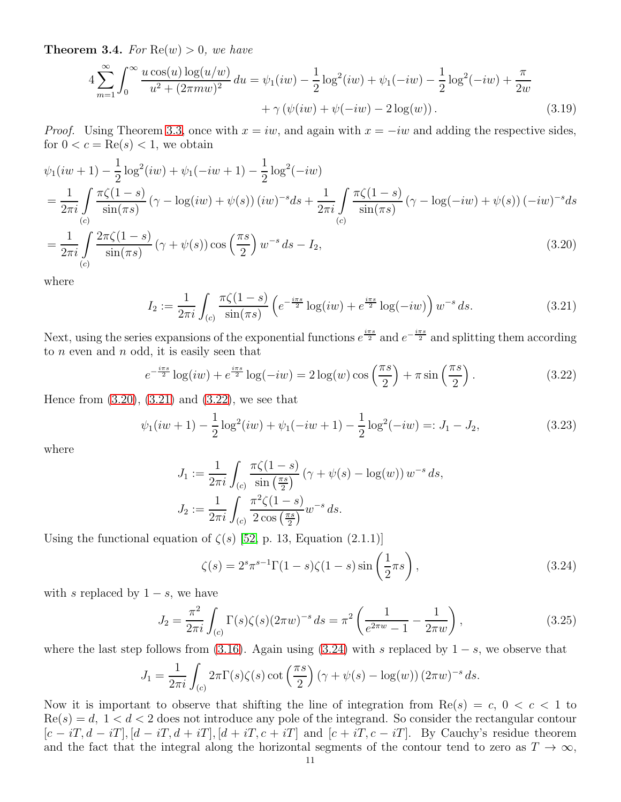<span id="page-10-0"></span>**Theorem 3.4.** For  $\text{Re}(w) > 0$ , we have

$$
4\sum_{m=1}^{\infty} \int_0^{\infty} \frac{u \cos(u) \log(u/w)}{u^2 + (2\pi m w)^2} du = \psi_1(iw) - \frac{1}{2} \log^2(iw) + \psi_1(-iw) - \frac{1}{2} \log^2(-iw) + \frac{\pi}{2w} + \gamma(\psi(iw) + \psi(-iw) - 2\log(w)).
$$
\n(3.19)

*Proof.* Using Theorem [3.3,](#page-9-0) once with  $x = iw$ , and again with  $x = -iw$  and adding the respective sides, for  $0 < c = \text{Re}(s) < 1$ , we obtain

$$
\psi_1(iw+1) - \frac{1}{2}\log^2(iw) + \psi_1(-iw+1) - \frac{1}{2}\log^2(-iw)
$$
\n
$$
= \frac{1}{2\pi i} \int_{(c)} \frac{\pi \zeta(1-s)}{\sin(\pi s)} (\gamma - \log(iw) + \psi(s)) (iw)^{-s} ds + \frac{1}{2\pi i} \int_{(c)} \frac{\pi \zeta(1-s)}{\sin(\pi s)} (\gamma - \log(-iw) + \psi(s)) (-iw)^{-s} ds
$$
\n
$$
= \frac{1}{2\pi i} \int_{(c)} \frac{2\pi \zeta(1-s)}{\sin(\pi s)} (\gamma + \psi(s)) \cos\left(\frac{\pi s}{2}\right) w^{-s} ds - I_2,
$$
\n(3.20)

where

<span id="page-10-7"></span><span id="page-10-2"></span><span id="page-10-1"></span>
$$
I_2 := \frac{1}{2\pi i} \int_{(c)} \frac{\pi \zeta (1 - s)}{\sin(\pi s)} \left( e^{-\frac{i\pi s}{2}} \log(iw) + e^{\frac{i\pi s}{2}} \log(-iw) \right) w^{-s} ds.
$$
 (3.21)

Next, using the series expansions of the exponential functions  $e^{\frac{i\pi s}{2}}$  and  $e^{-\frac{i\pi s}{2}}$  and splitting them according to  $n$  even and  $n$  odd, it is easily seen that

<span id="page-10-3"></span>
$$
e^{-\frac{i\pi s}{2}}\log(iw) + e^{\frac{i\pi s}{2}}\log(-iw) = 2\log(w)\cos\left(\frac{\pi s}{2}\right) + \pi\sin\left(\frac{\pi s}{2}\right). \tag{3.22}
$$

Hence from [\(3.20\)](#page-10-1), [\(3.21\)](#page-10-2) and [\(3.22\)](#page-10-3), we see that

$$
\psi_1(iw+1) - \frac{1}{2}\log^2(iw) + \psi_1(-iw+1) - \frac{1}{2}\log^2(-iw) =: J_1 - J_2,
$$
\n(3.23)

where

$$
J_1 := \frac{1}{2\pi i} \int_{(c)} \frac{\pi \zeta (1 - s)}{\sin(\frac{\pi s}{2})} (\gamma + \psi(s) - \log(w)) w^{-s} ds,
$$
  

$$
J_2 := \frac{1}{2\pi i} \int_{(c)} \frac{\pi^2 \zeta (1 - s)}{2 \cos(\frac{\pi s}{2})} w^{-s} ds.
$$

Using the functional equation of  $\zeta(s)$  [\[52,](#page-24-5) p. 13, Equation (2.1.1)]

<span id="page-10-6"></span><span id="page-10-5"></span><span id="page-10-4"></span>
$$
\zeta(s) = 2^s \pi^{s-1} \Gamma(1-s) \zeta(1-s) \sin\left(\frac{1}{2}\pi s\right),\tag{3.24}
$$

with s replaced by  $1 - s$ , we have

$$
J_2 = \frac{\pi^2}{2\pi i} \int_{(c)} \Gamma(s)\zeta(s)(2\pi w)^{-s} ds = \pi^2 \left(\frac{1}{e^{2\pi w} - 1} - \frac{1}{2\pi w}\right),\tag{3.25}
$$

where the last step follows from [\(3.16\)](#page-9-6). Again using [\(3.24\)](#page-10-4) with s replaced by  $1 - s$ , we observe that

$$
J_1 = \frac{1}{2\pi i} \int_{(c)} 2\pi \Gamma(s)\zeta(s) \cot\left(\frac{\pi s}{2}\right) \left(\gamma + \psi(s) - \log(w)\right) \left(2\pi w\right)^{-s} ds.
$$

Now it is important to observe that shifting the line of integration from  $\text{Re}(s) = c, 0 < c < 1$  to  $Re(s) = d, 1 < d < 2$  does not introduce any pole of the integrand. So consider the rectangular contour  $[c - iT, d - iT], [d - iT, d + iT], [d + iT, c + iT]$  and  $[c + iT, c - iT]$ . By Cauchy's residue theorem and the fact that the integral along the horizontal segments of the contour tend to zero as  $T \to \infty$ ,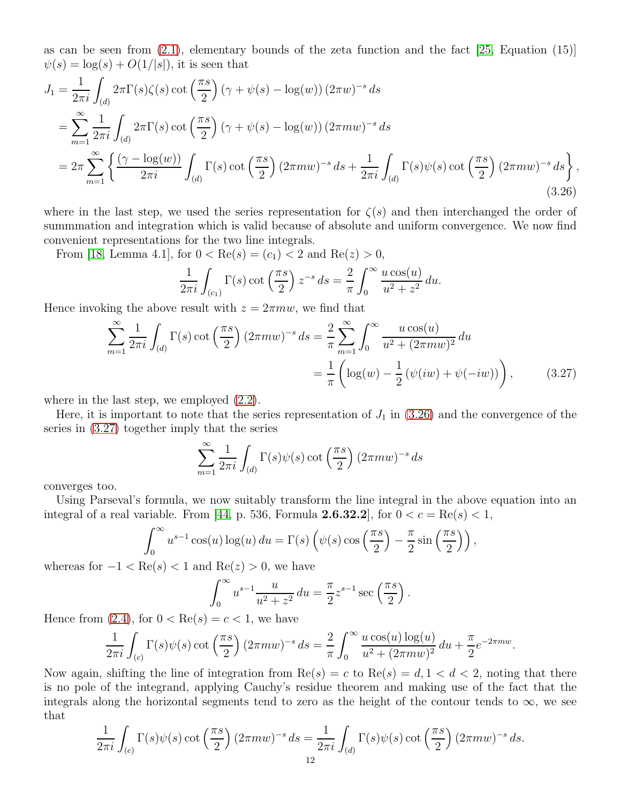as can be seen from  $(2.1)$ , elementary bounds of the zeta function and the fact  $[25,$  Equation  $(15)]$  $\psi(s) = \log(s) + O(1/|s|)$ , it is seen that

$$
J_1 = \frac{1}{2\pi i} \int_{(d)} 2\pi \Gamma(s)\zeta(s) \cot\left(\frac{\pi s}{2}\right) (\gamma + \psi(s) - \log(w)) (2\pi w)^{-s} ds
$$
  
\n
$$
= \sum_{m=1}^{\infty} \frac{1}{2\pi i} \int_{(d)} 2\pi \Gamma(s) \cot\left(\frac{\pi s}{2}\right) (\gamma + \psi(s) - \log(w)) (2\pi m w)^{-s} ds
$$
  
\n
$$
= 2\pi \sum_{m=1}^{\infty} \left\{ \frac{(\gamma - \log(w))}{2\pi i} \int_{(d)} \Gamma(s) \cot\left(\frac{\pi s}{2}\right) (2\pi m w)^{-s} ds + \frac{1}{2\pi i} \int_{(d)} \Gamma(s) \psi(s) \cot\left(\frac{\pi s}{2}\right) (2\pi m w)^{-s} ds \right\},
$$
\n(3.26)

where in the last step, we used the series representation for  $\zeta(s)$  and then interchanged the order of summmation and integration which is valid because of absolute and uniform convergence. We now find convenient representations for the two line integrals.

From [\[18,](#page-23-7) Lemma 4.1], for  $0 < \text{Re}(s) = (c_1) < 2$  and  $\text{Re}(z) > 0$ ,

<span id="page-11-0"></span>
$$
\frac{1}{2\pi i} \int_{(c_1)} \Gamma(s) \cot\left(\frac{\pi s}{2}\right) z^{-s} ds = \frac{2}{\pi} \int_0^\infty \frac{u \cos(u)}{u^2 + z^2} du.
$$

Hence invoking the above result with  $z = 2\pi m w$ , we find that

$$
\sum_{m=1}^{\infty} \frac{1}{2\pi i} \int_{(d)} \Gamma(s) \cot\left(\frac{\pi s}{2}\right) (2\pi m w)^{-s} ds = \frac{2}{\pi} \sum_{m=1}^{\infty} \int_{0}^{\infty} \frac{u \cos(u)}{u^{2} + (2\pi m w)^{2}} du
$$

$$
= \frac{1}{\pi} \left( \log(w) - \frac{1}{2} \left( \psi(iw) + \psi(-iw) \right) \right), \tag{3.27}
$$

where in the last step, we employed  $(2.2)$ .

Here, it is important to note that the series representation of  $J_1$  in [\(3.26\)](#page-11-0) and the convergence of the series in [\(3.27\)](#page-11-1) together imply that the series

<span id="page-11-1"></span>
$$
\sum_{m=1}^{\infty} \frac{1}{2\pi i} \int_{(d)} \Gamma(s) \psi(s) \cot\left(\frac{\pi s}{2}\right) (2\pi m w)^{-s} ds
$$

converges too.

Using Parseval's formula, we now suitably transform the line integral in the above equation into an integral of a real variable. From [\[44,](#page-24-21) p. 536, Formula **2.6.32.2**], for  $0 < c = \text{Re}(s) < 1$ ,

$$
\int_0^\infty u^{s-1} \cos(u) \log(u) \, du = \Gamma(s) \left( \psi(s) \cos\left(\frac{\pi s}{2}\right) - \frac{\pi}{2} \sin\left(\frac{\pi s}{2}\right) \right),
$$

whereas for  $-1 < \text{Re}(s) < 1$  and  $\text{Re}(z) > 0$ , we have

$$
\int_0^{\infty} u^{s-1} \frac{u}{u^2 + z^2} du = \frac{\pi}{2} z^{s-1} \sec\left(\frac{\pi s}{2}\right).
$$

Hence from  $(2.4)$ , for  $0 < \text{Re}(s) = c < 1$ , we have

$$
\frac{1}{2\pi i} \int_{(c)} \Gamma(s) \psi(s) \cot\left(\frac{\pi s}{2}\right) (2\pi m w)^{-s} ds = \frac{2}{\pi} \int_0^\infty \frac{u \cos(u) \log(u)}{u^2 + (2\pi m w)^2} du + \frac{\pi}{2} e^{-2\pi m w}.
$$

Now again, shifting the line of integration from  $\text{Re}(s) = c$  to  $\text{Re}(s) = d, 1 < d < 2$ , noting that there is no pole of the integrand, applying Cauchy's residue theorem and making use of the fact that the integrals along the horizontal segments tend to zero as the height of the contour tends to  $\infty$ , we see that

$$
\frac{1}{2\pi i} \int_{(c)} \Gamma(s) \psi(s) \cot\left(\frac{\pi s}{2}\right) (2\pi m w)^{-s} ds = \frac{1}{2\pi i} \int_{(d)} \Gamma(s) \psi(s) \cot\left(\frac{\pi s}{2}\right) (2\pi m w)^{-s} ds.
$$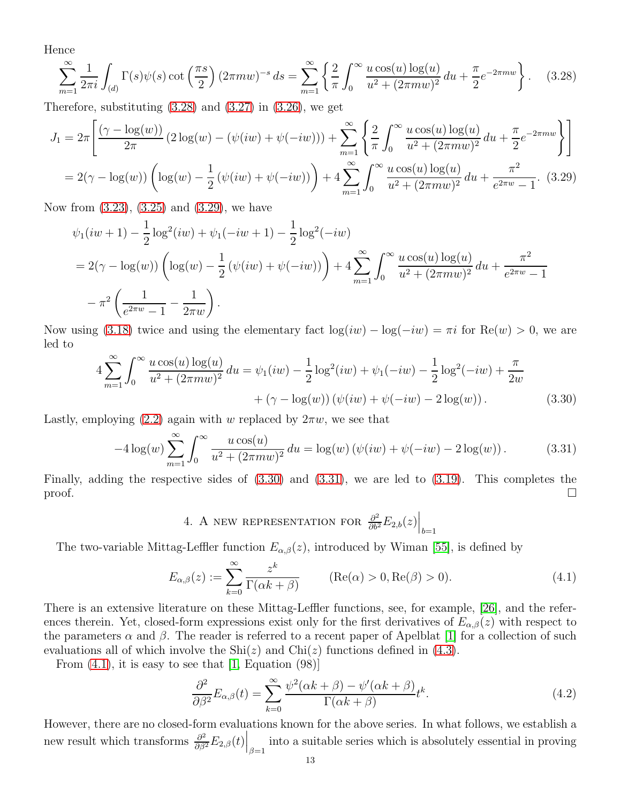Hence

 $\overline{r}$ 

<span id="page-12-0"></span>
$$
\sum_{m=1}^{\infty} \frac{1}{2\pi i} \int_{(d)} \Gamma(s) \psi(s) \cot\left(\frac{\pi s}{2}\right) (2\pi m w)^{-s} ds = \sum_{m=1}^{\infty} \left\{ \frac{2}{\pi} \int_{0}^{\infty} \frac{u \cos(u) \log(u)}{u^2 + (2\pi m w)^2} du + \frac{\pi}{2} e^{-2\pi m w} \right\}.
$$
 (3.28)

Therefore, substituting  $(3.28)$  and  $(3.27)$  in  $(3.26)$ , we get

$$
J_1 = 2\pi \left[ \frac{(\gamma - \log(w))}{2\pi} (2\log(w) - (\psi(iw) + \psi(-iw))) + \sum_{m=1}^{\infty} \left\{ \frac{2}{\pi} \int_0^{\infty} \frac{u \cos(u) \log(u)}{u^2 + (2\pi m w)^2} du + \frac{\pi}{2} e^{-2\pi m w} \right\} \right]
$$
  
= 2(\gamma - \log(w)) \left( \log(w) - \frac{1}{2} (\psi(iw) + \psi(-iw)) \right) + 4 \sum\_{m=1}^{\infty} \int\_0^{\infty} \frac{u \cos(u) \log(u)}{u^2 + (2\pi m w)^2} du + \frac{\pi^2}{e^{2\pi w} - 1}. (3.29)

Now from [\(3.23\)](#page-10-5), [\(3.25\)](#page-10-6) and [\(3.29\)](#page-12-1), we have

<span id="page-12-1"></span>
$$
\psi_1(iw+1) - \frac{1}{2}\log^2(iw) + \psi_1(-iw+1) - \frac{1}{2}\log^2(-iw)
$$
  
=  $2(\gamma - \log(w))\left(\log(w) - \frac{1}{2}(\psi(iw) + \psi(-iw))\right) + 4\sum_{m=1}^{\infty} \int_0^{\infty} \frac{u\cos(u)\log(u)}{u^2 + (2\pi mw)^2} du + \frac{\pi^2}{e^{2\pi w} - 1}$   
 $- \pi^2 \left(\frac{1}{e^{2\pi w} - 1} - \frac{1}{2\pi w}\right).$ 

Now using [\(3.18\)](#page-9-7) twice and using the elementary fact  $log(iw) - log(-iw) = \pi i$  for  $Re(w) > 0$ , we are led to

$$
4\sum_{m=1}^{\infty} \int_0^{\infty} \frac{u \cos(u) \log(u)}{u^2 + (2\pi m w)^2} du = \psi_1(iw) - \frac{1}{2} \log^2(iw) + \psi_1(-iw) - \frac{1}{2} \log^2(-iw) + \frac{\pi}{2w} + (\gamma - \log(w))(\psi(iw) + \psi(-iw) - 2\log(w)).
$$
\n(3.30)

Lastly, employing [\(2.2\)](#page-4-2) again with w replaced by  $2\pi w$ , we see that

$$
-4\log(w)\sum_{m=1}^{\infty}\int_{0}^{\infty}\frac{u\cos(u)}{u^2+(2\pi mw)^2}du = \log(w)\left(\psi(iw)+\psi(-iw)-2\log(w)\right). \tag{3.31}
$$

Finally, adding the respective sides of [\(3.30\)](#page-12-2) and [\(3.31\)](#page-12-3), we are led to [\(3.19\)](#page-10-7). This completes the  $\Box$ 

<span id="page-12-4"></span><span id="page-12-3"></span><span id="page-12-2"></span>4. A NEW REPRESENTATION FOR  $\frac{\partial^2}{\partial b^2}E_{2,b}(z)\Big|_{b=1}$ 

The two-variable Mittag-Leffler function  $E_{\alpha,\beta}(z)$ , introduced by Wiman [\[55\]](#page-24-22), is defined by

$$
E_{\alpha,\beta}(z) := \sum_{k=0}^{\infty} \frac{z^k}{\Gamma(\alpha k + \beta)}
$$
 (Re( $\alpha$ ) > 0, Re( $\beta$ ) > 0). (4.1)

There is an extensive literature on these Mittag-Leffler functions, see, for example, [\[26\]](#page-23-27), and the references therein. Yet, closed-form expressions exist only for the first derivatives of  $E_{\alpha,\beta}(z)$  with respect to the parameters  $\alpha$  and  $\beta$ . The reader is referred to a recent paper of Apelblat [\[1\]](#page-23-28) for a collection of such evaluations all of which involve the  $\text{Shi}(z)$  and  $\text{Chi}(z)$  functions defined in [\(4.3\)](#page-13-0).

From  $(4.1)$ , it is easy to see that  $[1, Equation (98)]$ 

<span id="page-12-5"></span>
$$
\frac{\partial^2}{\partial \beta^2} E_{\alpha,\beta}(t) = \sum_{k=0}^{\infty} \frac{\psi^2(\alpha k + \beta) - \psi'(\alpha k + \beta)}{\Gamma(\alpha k + \beta)} t^k.
$$
\n(4.2)

However, there are no closed-form evaluations known for the above series. In what follows, we establish a new result which transforms  $\frac{\partial^2}{\partial \beta^2} E_{2,\beta}(t) \Big|_{\beta=1}$  into a suitable series which is absolutely essential in proving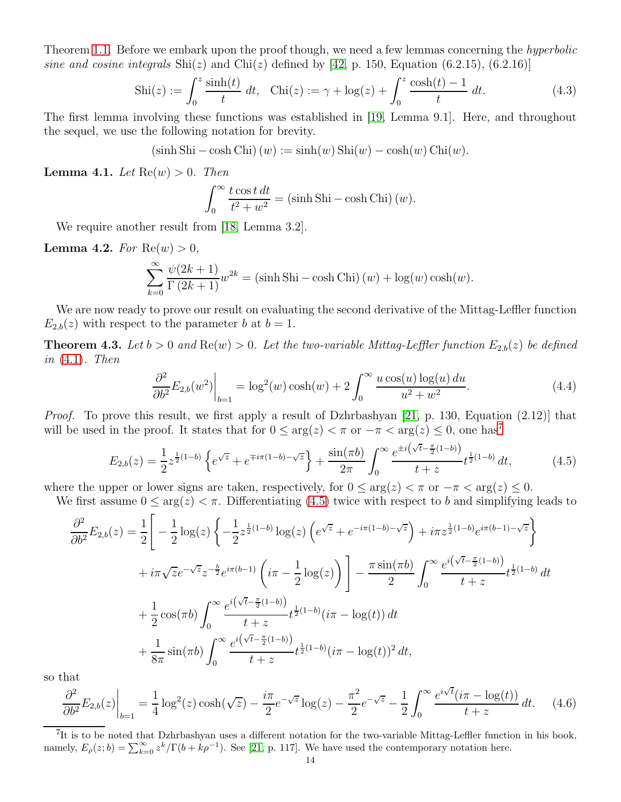Theorem [1.1.](#page-3-0) Before we embark upon the proof though, we need a few lemmas concerning the *hyperbolic* sine and cosine integrals  $\text{Shi}(z)$  and  $\text{Chi}(z)$  defined by [\[42,](#page-24-23) p. 150, Equation (6.2.15), (6.2.16)]

$$
Shi(z) := \int_0^z \frac{\sinh(t)}{t} \, dt, \quad \text{Chi}(z) := \gamma + \log(z) + \int_0^z \frac{\cosh(t) - 1}{t} \, dt. \tag{4.3}
$$

The first lemma involving these functions was established in [\[19,](#page-23-8) Lemma 9.1]. Here, and throughout the sequel, we use the following notation for brevity.

$$
(\sinh Shi - \cosh Chi) (w) := \sinh(w) Shi(w) - \cosh(w) Chi(w).
$$

<span id="page-13-3"></span>**Lemma 4.1.** Let  $\text{Re}(w) > 0$ . Then

<span id="page-13-5"></span><span id="page-13-0"></span>
$$
\int_0^\infty \frac{t \cos t \, dt}{t^2 + w^2} = (\sinh \, \text{Shi} - \cosh \, \text{Chi}) \, (w).
$$

We require another result from [\[18,](#page-23-7) Lemma 3.2].

<span id="page-13-6"></span>**Lemma 4.2.** For  $Re(w) > 0$ ,

$$
\sum_{k=0}^{\infty} \frac{\psi(2k+1)}{\Gamma(2k+1)} w^{2k} = (\sinh \operatorname{Shi} - \cosh \operatorname{Chi})(w) + \log(w) \cosh(w).
$$

We are now ready to prove our result on evaluating the second derivative of the Mittag-Leffler function  $E_{2,b}(z)$  with respect to the parameter b at  $b=1$ .

<span id="page-13-7"></span>**Theorem 4.3.** Let  $b > 0$  and  $\text{Re}(w) > 0$ . Let the two-variable Mittag-Leffler function  $E_{2,b}(z)$  be defined in  $(4.1)$ . Then

<span id="page-13-2"></span>
$$
\left. \frac{\partial^2}{\partial b^2} E_{2,b}(w^2) \right|_{b=1} = \log^2(w) \cosh(w) + 2 \int_0^\infty \frac{u \cos(u) \log(u) du}{u^2 + w^2}.
$$
\n(4.4)

*Proof.* To prove this result, we first apply a result of Dzhrbashyan [\[21,](#page-23-29) p. 130, Equation (2.12)] that will be used in the proof. It states that for  $0 \le \arg(z) < \pi$  or  $-\pi < \arg(z) \le 0$ , one has<sup>[7](#page-13-1)</sup>

$$
E_{2,b}(z) = \frac{1}{2} z^{\frac{1}{2}(1-b)} \left\{ e^{\sqrt{z}} + e^{\mp i\pi(1-b) - \sqrt{z}} \right\} + \frac{\sin(\pi b)}{2\pi} \int_0^\infty \frac{e^{\pm i(\sqrt{t} - \frac{\pi}{2}(1-b))}}{t+z} t^{\frac{1}{2}(1-b)} dt, \tag{4.5}
$$

where the upper or lower signs are taken, respectively, for  $0 \le \arg(z) \le \pi$  or  $-\pi \le \arg(z) \le 0$ .

We first assume  $0 \le \arg(z) < \pi$ . Differentiating [\(4.5\)](#page-13-2) twice with respect to b and simplifying leads to

$$
\frac{\partial^2}{\partial b^2} E_{2,b}(z) = \frac{1}{2} \Bigg[ -\frac{1}{2} \log(z) \left\{ -\frac{1}{2} z^{\frac{1}{2}(1-b)} \log(z) \left( e^{\sqrt{z}} + e^{-i\pi(1-b) - \sqrt{z}} \right) + i\pi z^{\frac{1}{2}(1-b)} e^{i\pi(b-1) - \sqrt{z}} \right\}
$$

$$
+ i\pi \sqrt{z} e^{-\sqrt{z}} z^{-\frac{b}{2}} e^{i\pi(b-1)} \left( i\pi - \frac{1}{2} \log(z) \right) \Bigg] - \frac{\pi \sin(\pi b)}{2} \int_0^\infty \frac{e^{i(\sqrt{t} - \frac{\pi}{2}(1-b))}}{t+z} t^{\frac{1}{2}(1-b)} dt
$$

$$
+ \frac{1}{2} \cos(\pi b) \int_0^\infty \frac{e^{i(\sqrt{t} - \frac{\pi}{2}(1-b))}}{t+z} t^{\frac{1}{2}(1-b)} (i\pi - \log(t)) dt
$$

$$
+ \frac{1}{8\pi} \sin(\pi b) \int_0^\infty \frac{e^{i(\sqrt{t} - \frac{\pi}{2}(1-b))}}{t+z} t^{\frac{1}{2}(1-b)} (i\pi - \log(t))^2 dt,
$$

so that

<span id="page-13-4"></span>
$$
\frac{\partial^2}{\partial b^2} E_{2,b}(z) \Big|_{b=1} = \frac{1}{4} \log^2(z) \cosh(\sqrt{z}) - \frac{i\pi}{2} e^{-\sqrt{z}} \log(z) - \frac{\pi^2}{2} e^{-\sqrt{z}} - \frac{1}{2} \int_0^\infty \frac{e^{i\sqrt{t}} (i\pi - \log(t))}{t+z} dt. \tag{4.6}
$$

<span id="page-13-1"></span><sup>7</sup>It is to be noted that Dzhrbashyan uses a different notation for the two-variable Mittag-Leffler function in his book, namely,  $E_{\rho}(z; b) = \sum_{k=0}^{\infty} z^k / \Gamma(b + k\rho^{-1})$ . See [\[21,](#page-23-29) p. 117]. We have used the contemporary notation here.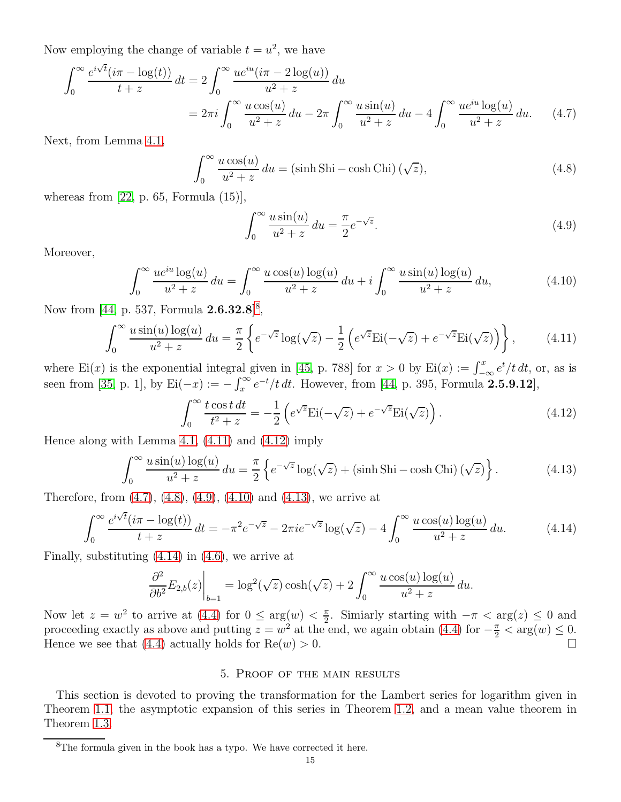Now employing the change of variable  $t = u^2$ , we have

$$
\int_0^\infty \frac{e^{i\sqrt{t}}(i\pi - \log(t))}{t+z} dt = 2 \int_0^\infty \frac{ue^{iu}(i\pi - 2\log(u))}{u^2 + z} du
$$
  
=  $2\pi i \int_0^\infty \frac{u\cos(u)}{u^2 + z} du - 2\pi \int_0^\infty \frac{u\sin(u)}{u^2 + z} du - 4 \int_0^\infty \frac{ue^{iu}\log(u)}{u^2 + z} du.$  (4.7)

Next, from Lemma [4.1,](#page-13-3)

$$
\int_0^\infty \frac{u\cos(u)}{u^2 + z} \, du = (\sinh \operatorname{Shi} - \cosh \operatorname{Chi}) \, (\sqrt{z}),\tag{4.8}
$$

whereas from  $[22, p. 65, Formula (15)],$ 

<span id="page-14-6"></span><span id="page-14-5"></span><span id="page-14-4"></span><span id="page-14-3"></span><span id="page-14-1"></span>
$$
\int_0^\infty \frac{u\sin(u)}{u^2 + z} du = \frac{\pi}{2} e^{-\sqrt{z}}.
$$
\n(4.9)

Moreover,

$$
\int_0^\infty \frac{ue^{iu}\log(u)}{u^2+z} \, du = \int_0^\infty \frac{u\cos(u)\log(u)}{u^2+z} \, du + i \int_0^\infty \frac{u\sin(u)\log(u)}{u^2+z} \, du,\tag{4.10}
$$

Now from [\[44,](#page-24-21) p. 537, Formula  $2.6.32.8$  $2.6.32.8$ ]<sup>8</sup>,

$$
\int_0^\infty \frac{u\sin(u)\log(u)}{u^2+z} du = \frac{\pi}{2} \left\{ e^{-\sqrt{z}}\log(\sqrt{z}) - \frac{1}{2} \left( e^{\sqrt{z}}\mathrm{Ei}(-\sqrt{z}) + e^{-\sqrt{z}}\mathrm{Ei}(\sqrt{z}) \right) \right\},\tag{4.11}
$$

where Ei(x) is the exponential integral given in [\[45,](#page-24-24) p. 788] for  $x > 0$  by Ei(x) :=  $\int_{-\infty}^{x} e^t/t dt$ , or, as is seen from [\[35,](#page-24-25) p. 1], by  $\mathrm{Ei}(-x) := -\int_x^{\infty} e^{-t}/t \, dt$ . However, from [\[44,](#page-24-21) p. 395, Formula 2.5.9.12],

<span id="page-14-7"></span><span id="page-14-2"></span>
$$
\int_0^\infty \frac{t \cos t \, dt}{t^2 + z} = -\frac{1}{2} \left( e^{\sqrt{z}} \text{Ei}(-\sqrt{z}) + e^{-\sqrt{z}} \text{Ei}(\sqrt{z}) \right). \tag{4.12}
$$

Hence along with Lemma [4.1,](#page-13-3) [\(4.11\)](#page-14-1) and [\(4.12\)](#page-14-2) imply

$$
\int_0^\infty \frac{u\sin(u)\log(u)}{u^2+z} du = \frac{\pi}{2} \left\{ e^{-\sqrt{z}} \log(\sqrt{z}) + (\sinh \operatorname{Sh} i - \cosh \operatorname{Chi})(\sqrt{z}) \right\}.
$$
 (4.13)

Therefore, from [\(4.7\)](#page-14-3), [\(4.8\)](#page-14-4), [\(4.9\)](#page-14-5), [\(4.10\)](#page-14-6) and [\(4.13\)](#page-14-7), we arrive at

$$
\int_0^\infty \frac{e^{i\sqrt{t}}(i\pi - \log(t))}{t+z} dt = -\pi^2 e^{-\sqrt{z}} - 2\pi i e^{-\sqrt{z}} \log(\sqrt{z}) - 4 \int_0^\infty \frac{u\cos(u)\log(u)}{u^2 + z} du.
$$
 (4.14)

Finally, substituting [\(4.14\)](#page-14-8) in [\(4.6\)](#page-13-4), we arrive at

$$
\left. \frac{\partial^2}{\partial b^2} E_{2,b}(z) \right|_{b=1} = \log^2(\sqrt{z}) \cosh(\sqrt{z}) + 2 \int_0^\infty \frac{u \cos(u) \log(u)}{u^2 + z} du.
$$

Now let  $z = w^2$  to arrive at [\(4.4\)](#page-13-5) for  $0 \le \arg(w) < \frac{\pi}{2}$  $\frac{\pi}{2}$ . Simiarly starting with  $-\pi < \arg(z) \leq 0$  and proceeding exactly as above and putting  $z = w^2$  at the end, we again obtain [\(4.4\)](#page-13-5) for  $-\frac{\pi}{2} < \arg(w) \le 0$ . Hence we see that [\(4.4\)](#page-13-5) actually holds for  $\text{Re}(w) > 0$ .

# <span id="page-14-8"></span>5. Proof of the main results

This section is devoted to proving the transformation for the Lambert series for logarithm given in Theorem [1.1,](#page-3-0) the asymptotic expansion of this series in Theorem [1.2,](#page-3-2) and a mean value theorem in Theorem [1.3.](#page-4-3)

<span id="page-14-0"></span> ${}^{8}$ The formula given in the book has a typo. We have corrected it here.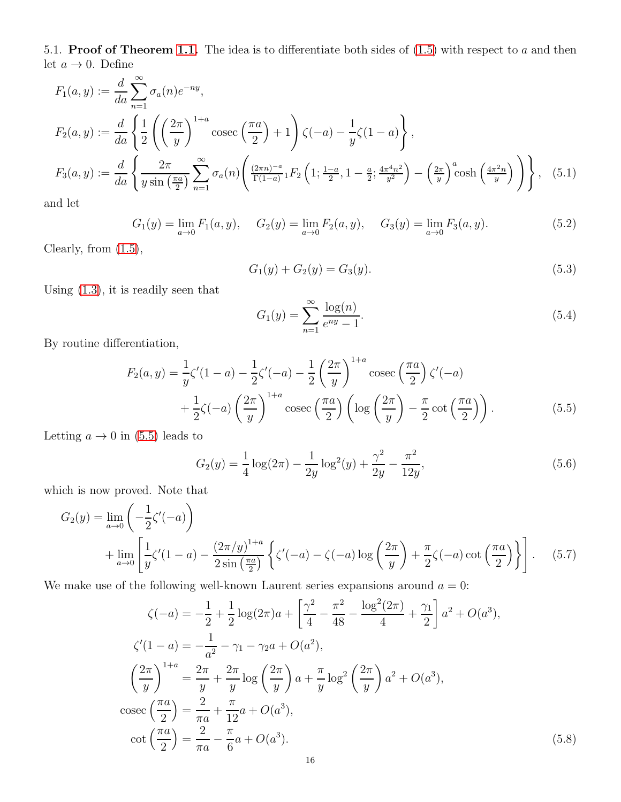5.1. **Proof of Theorem [1.1.](#page-3-0)** The idea is to differentiate both sides of  $(1.5)$  with respect to a and then let  $a \rightarrow 0$ . Define

$$
F_1(a, y) := \frac{d}{da} \sum_{n=1}^{\infty} \sigma_a(n) e^{-ny},
$$
  
\n
$$
F_2(a, y) := \frac{d}{da} \left\{ \frac{1}{2} \left( \left( \frac{2\pi}{y} \right)^{1+a} \csc\left( \frac{\pi a}{2} \right) + 1 \right) \zeta(-a) - \frac{1}{y} \zeta(1-a) \right\},
$$
  
\n
$$
F_3(a, y) := \frac{d}{da} \left\{ \frac{2\pi}{y \sin\left( \frac{\pi a}{2} \right)} \sum_{n=1}^{\infty} \sigma_a(n) \left( \frac{(2\pi n)^{-a}}{\Gamma(1-a)} {}_1F_2 \left( 1; \frac{1-a}{2}, 1 - \frac{a}{2}; \frac{4\pi^4 n^2}{y^2} \right) - \left( \frac{2\pi}{y} \right)^a \cosh\left( \frac{4\pi^2 n}{y} \right) \right) \right\}, \quad (5.1)
$$

and let

$$
G_1(y) = \lim_{a \to 0} F_1(a, y), \quad G_2(y) = \lim_{a \to 0} F_2(a, y), \quad G_3(y) = \lim_{a \to 0} F_3(a, y).
$$
 (5.2)

Clearly, from [\(1.5\)](#page-1-1),

<span id="page-15-4"></span><span id="page-15-3"></span>
$$
G_1(y) + G_2(y) = G_3(y). \tag{5.3}
$$

Using [\(1.3\)](#page-0-2), it is readily seen that

<span id="page-15-7"></span><span id="page-15-6"></span><span id="page-15-5"></span><span id="page-15-0"></span>
$$
G_1(y) = \sum_{n=1}^{\infty} \frac{\log(n)}{e^{ny} - 1}.
$$
\n(5.4)

By routine differentiation,

$$
F_2(a,y) = \frac{1}{y}\zeta'(1-a) - \frac{1}{2}\zeta'(-a) - \frac{1}{2}\left(\frac{2\pi}{y}\right)^{1+a}\operatorname{cosec}\left(\frac{\pi a}{2}\right)\zeta'(-a) + \frac{1}{2}\zeta(-a)\left(\frac{2\pi}{y}\right)^{1+a}\operatorname{cosec}\left(\frac{\pi a}{2}\right)\left(\log\left(\frac{2\pi}{y}\right) - \frac{\pi}{2}\cot\left(\frac{\pi a}{2}\right)\right).
$$
(5.5)

Letting  $a \to 0$  in [\(5.5\)](#page-15-0) leads to

<span id="page-15-2"></span>
$$
G_2(y) = \frac{1}{4}\log(2\pi) - \frac{1}{2y}\log^2(y) + \frac{\gamma^2}{2y} - \frac{\pi^2}{12y},\tag{5.6}
$$

which is now proved. Note that

$$
G_2(y) = \lim_{a \to 0} \left( -\frac{1}{2} \zeta'(-a) \right)
$$
  
+ 
$$
\lim_{a \to 0} \left[ \frac{1}{y} \zeta'(1-a) - \frac{(2\pi/y)^{1+a}}{2\sin(\frac{\pi a}{2})} \left\{ \zeta'(-a) - \zeta(-a) \log\left(\frac{2\pi}{y}\right) + \frac{\pi}{2} \zeta(-a) \cot\left(\frac{\pi a}{2}\right) \right\} \right].
$$
 (5.7)

We make use of the following well-known Laurent series expansions around  $a = 0$ :

<span id="page-15-1"></span>
$$
\zeta(-a) = -\frac{1}{2} + \frac{1}{2}\log(2\pi)a + \left[\frac{\gamma^2}{4} - \frac{\pi^2}{48} - \frac{\log^2(2\pi)}{4} + \frac{\gamma_1}{2}\right]a^2 + O(a^3),
$$
  

$$
\zeta'(1-a) = -\frac{1}{a^2} - \gamma_1 - \gamma_2a + O(a^2),
$$
  

$$
\left(\frac{2\pi}{y}\right)^{1+a} = \frac{2\pi}{y} + \frac{2\pi}{y}\log\left(\frac{2\pi}{y}\right)a + \frac{\pi}{y}\log^2\left(\frac{2\pi}{y}\right)a^2 + O(a^3),
$$
  

$$
\csc\left(\frac{\pi a}{2}\right) = \frac{2}{\pi a} + \frac{\pi}{12}a + O(a^3),
$$
  

$$
\cot\left(\frac{\pi a}{2}\right) = \frac{2}{\pi a} - \frac{\pi}{6}a + O(a^3).
$$
 (5.8)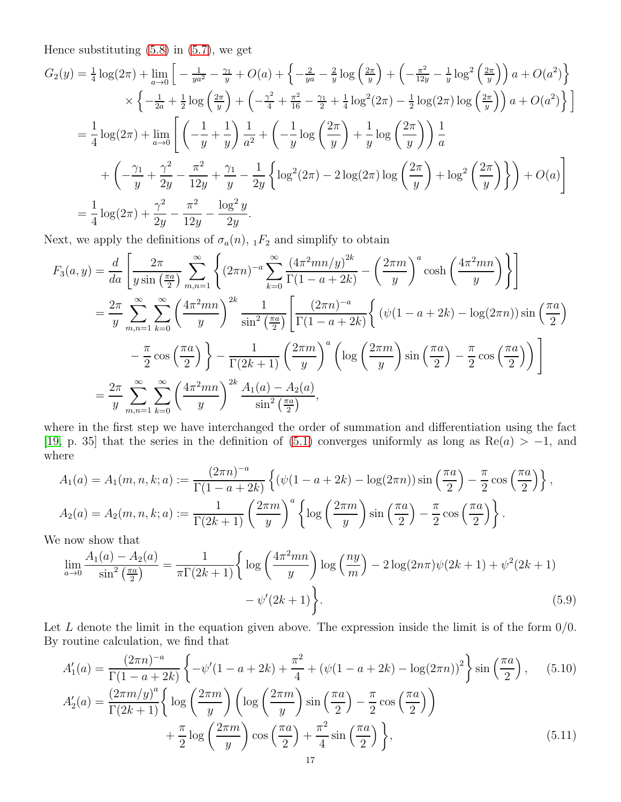Hence substituting [\(5.8\)](#page-15-1) in [\(5.7\)](#page-15-2), we get

$$
G_2(y) = \frac{1}{4}\log(2\pi) + \lim_{a \to 0} \left[ -\frac{1}{ya^2} - \frac{\gamma_1}{y} + O(a) + \left\{ -\frac{2}{ya} - \frac{2}{y}\log\left(\frac{2\pi}{y}\right) + \left( -\frac{\pi^2}{12y} - \frac{1}{y}\log^2\left(\frac{2\pi}{y}\right)\right)a + O(a^2) \right\} \times \left\{ -\frac{1}{2a} + \frac{1}{2}\log\left(\frac{2\pi}{y}\right) + \left( -\frac{\gamma^2}{4} + \frac{\pi^2}{16} - \frac{\gamma_1}{2} + \frac{1}{4}\log^2(2\pi) - \frac{1}{2}\log(2\pi)\log\left(\frac{2\pi}{y}\right)\right)a + O(a^2) \right\} \right]
$$
  
\n
$$
= \frac{1}{4}\log(2\pi) + \lim_{a \to 0} \left[ \left( -\frac{1}{y} + \frac{1}{y} \right) \frac{1}{a^2} + \left( -\frac{1}{y}\log\left(\frac{2\pi}{y}\right) + \frac{1}{y}\log\left(\frac{2\pi}{y}\right)\right) \frac{1}{a} + \left( -\frac{\gamma_1}{y} + \frac{\gamma^2}{2y} - \frac{\pi^2}{12y} + \frac{\gamma_1}{y} - \frac{1}{2y}\left\{ \log^2(2\pi) - 2\log(2\pi)\log\left(\frac{2\pi}{y}\right) + \log^2\left(\frac{2\pi}{y}\right) \right\} \right) + O(a) \right]
$$
  
\n
$$
= \frac{1}{4}\log(2\pi) + \frac{\gamma^2}{2y} - \frac{\pi^2}{12y} - \frac{\log^2 y}{2y}.
$$

Next, we apply the definitions of  $\sigma_a(n)$ ,  $_1F_2$  and simplify to obtain

$$
F_3(a,y) = \frac{d}{da} \left[ \frac{2\pi}{y\sin\left(\frac{\pi a}{2}\right)} \sum_{m,n=1}^{\infty} \left\{ (2\pi n)^{-a} \sum_{k=0}^{\infty} \frac{\left(4\pi^2 mn/y\right)^{2k}}{\Gamma(1-a+2k)} - \left(\frac{2\pi m}{y}\right)^a \cosh\left(\frac{4\pi^2 mn}{y}\right) \right\} \right]
$$
  
\n
$$
= \frac{2\pi}{y} \sum_{m,n=1}^{\infty} \sum_{k=0}^{\infty} \left( \frac{4\pi^2 mn}{y} \right)^{2k} \frac{1}{\sin^2\left(\frac{\pi a}{2}\right)} \left[ \frac{(2\pi n)^{-a}}{\Gamma(1-a+2k)} \left\{ (\psi(1-a+2k) - \log(2\pi n)) \sin\left(\frac{\pi a}{2}\right) - \frac{\pi}{2} \cos\left(\frac{\pi a}{2}\right) \right\} - \frac{1}{\Gamma(2k+1)} \left( \frac{2\pi m}{y} \right)^a \left( \log\left(\frac{2\pi m}{y}\right) \sin\left(\frac{\pi a}{2}\right) - \frac{\pi}{2} \cos\left(\frac{\pi a}{2}\right) \right) \right]
$$
  
\n
$$
= \frac{2\pi}{y} \sum_{m,n=1}^{\infty} \sum_{k=0}^{\infty} \left( \frac{4\pi^2 mn}{y} \right)^{2k} \frac{A_1(a) - A_2(a)}{\sin^2\left(\frac{\pi a}{2}\right)},
$$

where in the first step we have interchanged the order of summation and differentiation using the fact [\[19,](#page-23-8) p. 35] that the series in the definition of [\(5.1\)](#page-15-3) converges uniformly as long as Re $(a) > -1$ , and where

$$
A_1(a) = A_1(m, n, k; a) := \frac{(2\pi n)^{-a}}{\Gamma(1 - a + 2k)} \left\{ (\psi(1 - a + 2k) - \log(2\pi n)) \sin\left(\frac{\pi a}{2}\right) - \frac{\pi}{2} \cos\left(\frac{\pi a}{2}\right) \right\},
$$
  
\n
$$
A_2(a) = A_2(m, n, k; a) := \frac{1}{\Gamma(2k+1)} \left(\frac{2\pi m}{y}\right)^a \left\{ \log\left(\frac{2\pi m}{y}\right) \sin\left(\frac{\pi a}{2}\right) - \frac{\pi}{2} \cos\left(\frac{\pi a}{2}\right) \right\}.
$$

We now show that

<span id="page-16-2"></span>
$$
\lim_{a \to 0} \frac{A_1(a) - A_2(a)}{\sin^2\left(\frac{\pi a}{2}\right)} = \frac{1}{\pi \Gamma(2k+1)} \left\{ \log\left(\frac{4\pi^2 mn}{y}\right) \log\left(\frac{ny}{m}\right) - 2\log(2n\pi)\psi(2k+1) + \psi^2(2k+1) - \psi'(2k+1) \right\}.
$$
\n(5.9)

Let L denote the limit in the equation given above. The expression inside the limit is of the form  $0/0$ . By routine calculation, we find that

<span id="page-16-1"></span><span id="page-16-0"></span>
$$
A'_{1}(a) = \frac{(2\pi n)^{-a}}{\Gamma(1 - a + 2k)} \left\{ -\psi'(1 - a + 2k) + \frac{\pi^{2}}{4} + (\psi(1 - a + 2k) - \log(2\pi n))^{2} \right\} \sin\left(\frac{\pi a}{2}\right), \quad (5.10)
$$
  
\n
$$
A'_{2}(a) = \frac{(2\pi m/y)^{a}}{\Gamma(2k+1)} \left\{ \log\left(\frac{2\pi m}{y}\right) \left( \log\left(\frac{2\pi m}{y}\right) \sin\left(\frac{\pi a}{2}\right) - \frac{\pi}{2} \cos\left(\frac{\pi a}{2}\right) \right) + \frac{\pi}{2} \log\left(\frac{2\pi m}{y}\right) \cos\left(\frac{\pi a}{2}\right) + \frac{\pi^{2}}{4} \sin\left(\frac{\pi a}{2}\right) \right\}, \quad (5.11)
$$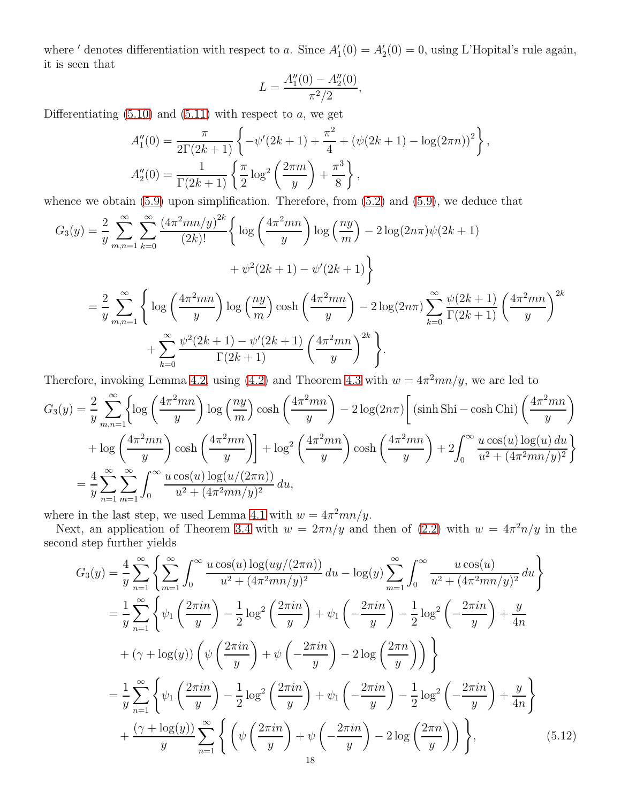where ' denotes differentiation with respect to a. Since  $A'_1(0) = A'_2(0) = 0$ , using L'Hopital's rule again, it is seen that

$$
L = \frac{A_1''(0) - A_2''(0)}{\pi^2/2},
$$

Differentiating  $(5.10)$  and  $(5.11)$  with respect to a, we get

$$
A_1''(0) = \frac{\pi}{2\Gamma(2k+1)} \left\{ -\psi'(2k+1) + \frac{\pi^2}{4} + (\psi(2k+1) - \log(2\pi n))^2 \right\},
$$
  
\n
$$
A_2''(0) = \frac{1}{\Gamma(2k+1)} \left\{ \frac{\pi}{2} \log^2 \left( \frac{2\pi m}{y} \right) + \frac{\pi^3}{8} \right\},
$$

whence we obtain  $(5.9)$  upon simplification. Therefore, from  $(5.2)$  and  $(5.9)$ , we deduce that

$$
G_3(y) = \frac{2}{y} \sum_{m,n=1}^{\infty} \sum_{k=0}^{\infty} \frac{(4\pi^2 mn/y)^{2k}}{(2k)!} \left\{ \log \left( \frac{4\pi^2 mn}{y} \right) \log \left( \frac{ny}{m} \right) - 2 \log(2n\pi)\psi(2k+1) \right\}
$$
  
+  $\psi^2(2k+1) - \psi'(2k+1) \left\}$   
=  $\frac{2}{y} \sum_{m,n=1}^{\infty} \left\{ \log \left( \frac{4\pi^2 mn}{y} \right) \log \left( \frac{ny}{m} \right) \cosh \left( \frac{4\pi^2 mn}{y} \right) - 2 \log(2n\pi) \sum_{k=0}^{\infty} \frac{\psi(2k+1)}{\Gamma(2k+1)} \left( \frac{4\pi^2 mn}{y} \right)^{2k} \right\}$   
+  $\sum_{k=0}^{\infty} \frac{\psi^2(2k+1) - \psi'(2k+1)}{\Gamma(2k+1)} \left( \frac{4\pi^2 mn}{y} \right)^{2k} \left\}$ .

Therefore, invoking Lemma [4.2,](#page-13-6) using [\(4.2\)](#page-12-5) and Theorem [4.3](#page-13-7) with  $w = 4\pi^2 mn/y$ , we are led to

$$
G_3(y) = \frac{2}{y} \sum_{m,n=1}^{\infty} \left\{ \log \left( \frac{4\pi^2 mn}{y} \right) \log \left( \frac{ny}{m} \right) \cosh \left( \frac{4\pi^2 mn}{y} \right) - 2 \log(2n\pi) \left[ \left( \sinh \operatorname{Sh} - \cosh \operatorname{Ch} \right) \left( \frac{4\pi^2 mn}{y} \right) \right] \right\}
$$
  
+ 
$$
\log \left( \frac{4\pi^2 mn}{y} \right) \cosh \left( \frac{4\pi^2 mn}{y} \right) \right\} + \log^2 \left( \frac{4\pi^2 mn}{y} \right) \cosh \left( \frac{4\pi^2 mn}{y} \right) + 2 \int_0^{\infty} \frac{u \cos(u) \log(u) du}{u^2 + (4\pi^2 mn/y)^2} \right\}
$$
  
= 
$$
\frac{4}{y} \sum_{n=1}^{\infty} \sum_{m=1}^{\infty} \int_0^{\infty} \frac{u \cos(u) \log(u/(2\pi n))}{u^2 + (4\pi^2 mn/y)^2} du,
$$

where in the last step, we used Lemma [4.1](#page-13-3) with  $w = 4\pi^2 mn/y$ .

Next, an application of Theorem [3.4](#page-10-0) with  $w = 2\pi n/y$  and then of [\(2.2\)](#page-4-2) with  $w = 4\pi^2 n/y$  in the second step further yields

<span id="page-17-0"></span>
$$
G_3(y) = \frac{4}{y} \sum_{n=1}^{\infty} \left\{ \sum_{m=1}^{\infty} \int_0^{\infty} \frac{u \cos(u) \log(uy/(2\pi n))}{u^2 + (4\pi^2 mn/y)^2} du - \log(y) \sum_{m=1}^{\infty} \int_0^{\infty} \frac{u \cos(u)}{u^2 + (4\pi^2 mn/y)^2} du \right\}
$$
  
\n
$$
= \frac{1}{y} \sum_{n=1}^{\infty} \left\{ \psi_1 \left( \frac{2\pi in}{y} \right) - \frac{1}{2} \log^2 \left( \frac{2\pi in}{y} \right) + \psi_1 \left( -\frac{2\pi in}{y} \right) - \frac{1}{2} \log^2 \left( -\frac{2\pi in}{y} \right) + \frac{y}{4n} \right\}
$$
  
\n
$$
+ (\gamma + \log(y)) \left( \psi \left( \frac{2\pi in}{y} \right) + \psi \left( -\frac{2\pi in}{y} \right) - 2 \log \left( \frac{2\pi n}{y} \right) \right) \right\}
$$
  
\n
$$
= \frac{1}{y} \sum_{n=1}^{\infty} \left\{ \psi_1 \left( \frac{2\pi in}{y} \right) - \frac{1}{2} \log^2 \left( \frac{2\pi in}{y} \right) + \psi_1 \left( -\frac{2\pi in}{y} \right) - \frac{1}{2} \log^2 \left( -\frac{2\pi in}{y} \right) + \frac{y}{4n} \right\}
$$
  
\n
$$
+ \frac{(\gamma + \log(y))}{y} \sum_{n=1}^{\infty} \left\{ \left( \psi \left( \frac{2\pi in}{y} \right) + \psi \left( -\frac{2\pi in}{y} \right) - 2 \log \left( \frac{2\pi n}{y} \right) \right) \right\}, \tag{5.12}
$$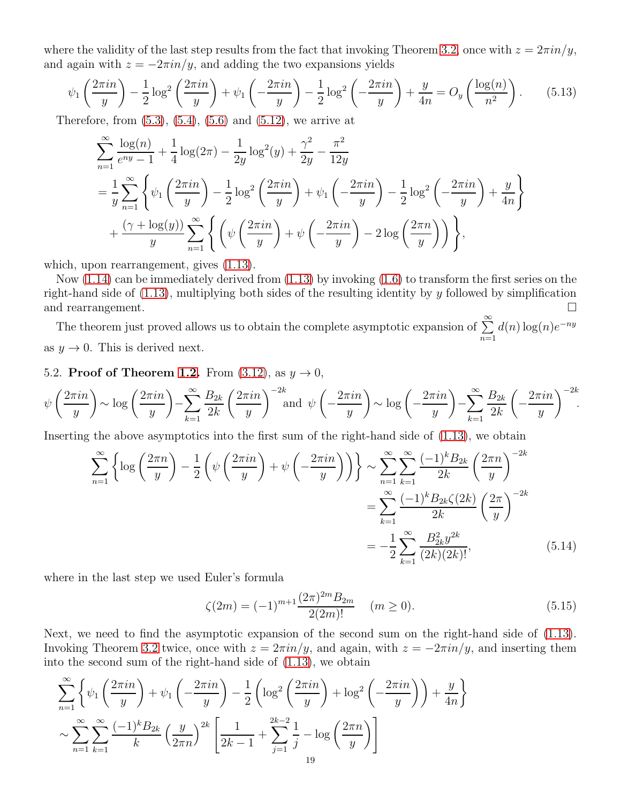where the validity of the last step results from the fact that invoking Theorem [3.2,](#page-7-0) once with  $z = 2\pi i n/y$ , and again with  $z = -2\pi i n/y$ , and adding the two expansions yields

$$
\psi_1\left(\frac{2\pi in}{y}\right) - \frac{1}{2}\log^2\left(\frac{2\pi in}{y}\right) + \psi_1\left(-\frac{2\pi in}{y}\right) - \frac{1}{2}\log^2\left(-\frac{2\pi in}{y}\right) + \frac{y}{4n} = O_y\left(\frac{\log(n)}{n^2}\right). \tag{5.13}
$$

Therefore, from  $(5.3)$ ,  $(5.4)$ ,  $(5.6)$  and  $(5.12)$ , we arrive at

<span id="page-18-0"></span>
$$
\sum_{n=1}^{\infty} \frac{\log(n)}{e^{ny} - 1} + \frac{1}{4} \log(2\pi) - \frac{1}{2y} \log^2(y) + \frac{\gamma^2}{2y} - \frac{\pi^2}{12y}
$$
\n
$$
= \frac{1}{y} \sum_{n=1}^{\infty} \left\{ \psi_1 \left( \frac{2\pi in}{y} \right) - \frac{1}{2} \log^2 \left( \frac{2\pi in}{y} \right) + \psi_1 \left( -\frac{2\pi in}{y} \right) - \frac{1}{2} \log^2 \left( -\frac{2\pi in}{y} \right) + \frac{y}{4n} \right\}
$$
\n
$$
+ \frac{(\gamma + \log(y))}{y} \sum_{n=1}^{\infty} \left\{ \left( \psi \left( \frac{2\pi in}{y} \right) + \psi \left( -\frac{2\pi in}{y} \right) - 2 \log \left( \frac{2\pi n}{y} \right) \right) \right\},
$$

which, upon rearrangement, gives  $(1.13)$ .

Now  $(1.14)$  can be immediately derived from  $(1.13)$  by invoking  $(1.6)$  to transform the first series on the right-hand side of  $(1.13)$ , multiplying both sides of the resulting identity by y followed by simplification and rearrangement.

The theorem just proved allows us to obtain the complete asymptotic expansion of  $\sum^{\infty}$  $n=1$  $d(n) \log(n) e^{-ny}$ as  $y \to 0$ . This is derived next.

5.2. Proof of Theorem [1.2.](#page-3-2) From  $(3.12)$ , as  $y \rightarrow 0$ ,

$$
\psi\left(\frac{2\pi in}{y}\right) \sim \log\left(\frac{2\pi in}{y}\right) - \sum_{k=1}^{\infty} \frac{B_{2k}}{2k} \left(\frac{2\pi in}{y}\right)^{-2k} \text{and } \psi\left(-\frac{2\pi in}{y}\right) \sim \log\left(-\frac{2\pi in}{y}\right) - \sum_{k=1}^{\infty} \frac{B_{2k}}{2k} \left(-\frac{2\pi in}{y}\right)^{-2k}.
$$

Inserting the above asymptotics into the first sum of the right-hand side of [\(1.13\)](#page-3-1), we obtain

$$
\sum_{n=1}^{\infty} \left\{ \log \left( \frac{2\pi n}{y} \right) - \frac{1}{2} \left( \psi \left( \frac{2\pi i n}{y} \right) + \psi \left( -\frac{2\pi i n}{y} \right) \right) \right\} \sim \sum_{n=1}^{\infty} \sum_{k=1}^{\infty} \frac{(-1)^k B_{2k}}{2k} \left( \frac{2\pi n}{y} \right)^{-2k}
$$

$$
= \sum_{k=1}^{\infty} \frac{(-1)^k B_{2k} \zeta(2k)}{2k} \left( \frac{2\pi}{y} \right)^{-2k}
$$

$$
= -\frac{1}{2} \sum_{k=1}^{\infty} \frac{B_{2k}^2 y^{2k}}{(2k)(2k)!},
$$
(5.14)

where in the last step we used Euler's formula

<span id="page-18-2"></span><span id="page-18-1"></span>
$$
\zeta(2m) = (-1)^{m+1} \frac{(2\pi)^{2m} B_{2m}}{2(2m)!} \quad (m \ge 0).
$$
\n(5.15)

Next, we need to find the asymptotic expansion of the second sum on the right-hand side of [\(1.13\)](#page-3-1). Invoking Theorem [3.2](#page-7-0) twice, once with  $z = 2\pi i n/y$ , and again, with  $z = -2\pi i n/y$ , and inserting them into the second sum of the right-hand side of [\(1.13\)](#page-3-1), we obtain

$$
\sum_{n=1}^{\infty} \left\{ \psi_1 \left( \frac{2\pi i n}{y} \right) + \psi_1 \left( -\frac{2\pi i n}{y} \right) - \frac{1}{2} \left( \log^2 \left( \frac{2\pi i n}{y} \right) + \log^2 \left( -\frac{2\pi i n}{y} \right) \right) + \frac{y}{4n} \right\}
$$
  

$$
\sim \sum_{n=1}^{\infty} \sum_{k=1}^{\infty} \frac{(-1)^k B_{2k}}{k} \left( \frac{y}{2\pi n} \right)^{2k} \left[ \frac{1}{2k-1} + \sum_{j=1}^{2k-2} \frac{1}{j} - \log \left( \frac{2\pi n}{y} \right) \right]
$$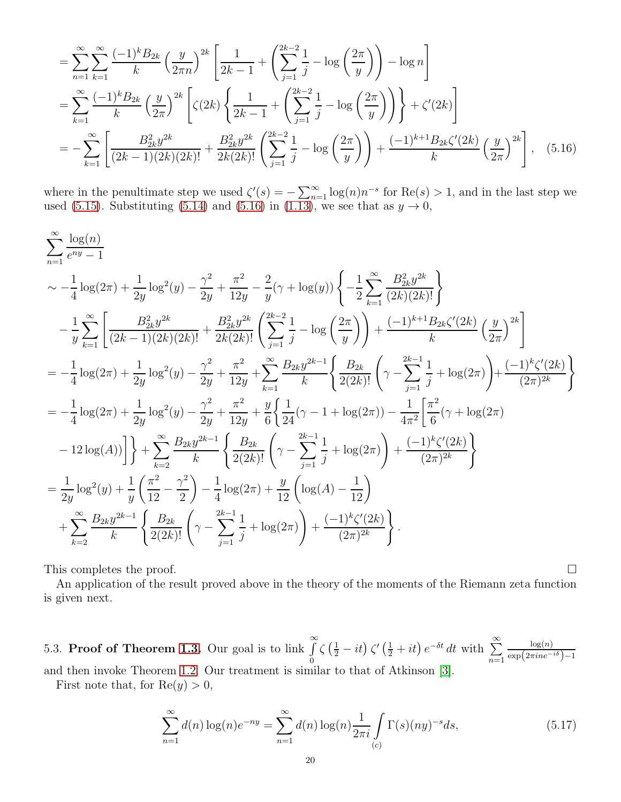<span id="page-19-0"></span>
$$
= \sum_{n=1}^{\infty} \sum_{k=1}^{\infty} \frac{(-1)^k B_{2k}}{k} \left(\frac{y}{2\pi n}\right)^{2k} \left[\frac{1}{2k-1} + \left(\sum_{j=1}^{2k-2} \frac{1}{j} - \log\left(\frac{2\pi}{y}\right)\right) - \log n\right]
$$
  
\n
$$
= \sum_{k=1}^{\infty} \frac{(-1)^k B_{2k}}{k} \left(\frac{y}{2\pi}\right)^{2k} \left[\zeta(2k) \left\{\frac{1}{2k-1} + \left(\sum_{j=1}^{2k-2} \frac{1}{j} - \log\left(\frac{2\pi}{y}\right)\right)\right\} + \zeta'(2k)\right]
$$
  
\n
$$
= -\sum_{k=1}^{\infty} \left[\frac{B_{2k}^2 y^{2k}}{(2k-1)(2k)(2k)!} + \frac{B_{2k}^2 y^{2k}}{2k(2k)!} \left(\sum_{j=1}^{2k-2} \frac{1}{j} - \log\left(\frac{2\pi}{y}\right)\right) + \frac{(-1)^{k+1} B_{2k} \zeta'(2k)}{k} \left(\frac{y}{2\pi}\right)^{2k}\right], \quad (5.16)
$$

where in the penultimate step we used  $\zeta'(s) = -\sum_{n=1}^{\infty} \log(n) n^{-s}$  for  $\text{Re}(s) > 1$ , and in the last step we used [\(5.15\)](#page-18-1). Substituting [\(5.14\)](#page-18-2) and [\(5.16\)](#page-19-0) in [\(1.13\)](#page-3-1), we see that as  $y \to 0$ ,

$$
\sum_{n=1}^{\infty} \frac{\log(n)}{e^{ny}-1}
$$
\n
$$
\sim -\frac{1}{4}\log(2\pi) + \frac{1}{2y}\log^{2}(y) - \frac{\gamma^{2}}{2y} + \frac{\pi^{2}}{12y} - \frac{2}{y}(\gamma + \log(y))\left\{-\frac{1}{2}\sum_{k=1}^{\infty}\frac{B_{2k}^{2}y^{2k}}{(2k)(2k)!}\right\}
$$
\n
$$
-\frac{1}{y}\sum_{k=1}^{\infty}\left[\frac{B_{2k}^{2}y^{2k}}{(2k-1)(2k)(2k)!} + \frac{B_{2k}^{2}y^{2k}}{2k(2k)!}\left(\sum_{j=1}^{2k-1}\frac{1}{j} - \log\left(\frac{2\pi}{y}\right)\right) + \frac{(-1)^{k+1}B_{2k}\zeta'(2k)}{k}\left(\frac{y}{2\pi}\right)^{2k}\right]
$$
\n
$$
= -\frac{1}{4}\log(2\pi) + \frac{1}{2y}\log^{2}(y) - \frac{\gamma^{2}}{2y} + \frac{\pi^{2}}{12y} + \sum_{k=1}^{\infty}\frac{B_{2k}y^{2k-1}}{k}\left\{\frac{B_{2k}}{2(2k)!}\left(\gamma - \sum_{j=1}^{2k-1}\frac{1}{j} + \log(2\pi)\right) + \frac{(-1)^{k}\zeta'(2k)}{(2\pi)^{2k}}\right\}
$$
\n
$$
= -\frac{1}{4}\log(2\pi) + \frac{1}{2y}\log^{2}(y) - \frac{\gamma^{2}}{2y} + \frac{\pi^{2}}{12y} + \frac{y}{6}\left\{\frac{1}{24}(\gamma - 1 + \log(2\pi)) - \frac{1}{4\pi^{2}}\left[\frac{\pi^{2}}{6}(\gamma + \log(2\pi))\right] - \frac{1}{2\pi^{2}}\left[\frac{\pi^{2}}{6}(\gamma + \log(2\pi))\right]
$$
\n
$$
- 12\log(A))\right]\right\} + \sum_{k=2}^{\infty}\frac{B_{2k}y^{2k-1}}{k}\left\{\frac{B_{2k}}{2(2k)!}\left(\gamma - \sum_{j=1}^{2k-1}\frac{1}{j} + \log(2\pi)\right
$$

This completes the proof.  $\Box$ 

An application of the result proved above in the theory of the moments of the Riemann zeta function is given next.

5.3. Proof of Theorem [1.3.](#page-4-3) Our goal is to link  $\int_{0}^{\infty}$ 0  $\zeta\left(\frac{1}{2}-it\right)\zeta\left(\frac{1}{2}+it\right)e^{-\delta t} dt$  with  $\sum_{n=1}^{\infty}$  $n=1$  $\log(n)$  $\exp\left(2\pi i ne^{-i\delta}\right)-1$ and then invoke Theorem [1.2.](#page-3-2) Our treatment is similar to that of Atkinson [\[3\]](#page-23-15).

First note that, for  $\text{Re}(y) > 0$ ,

<span id="page-19-1"></span>
$$
\sum_{n=1}^{\infty} d(n) \log(n) e^{-ny} = \sum_{n=1}^{\infty} d(n) \log(n) \frac{1}{2\pi i} \int_{(c)} \Gamma(s)(ny)^{-s} ds,
$$
\n(5.17)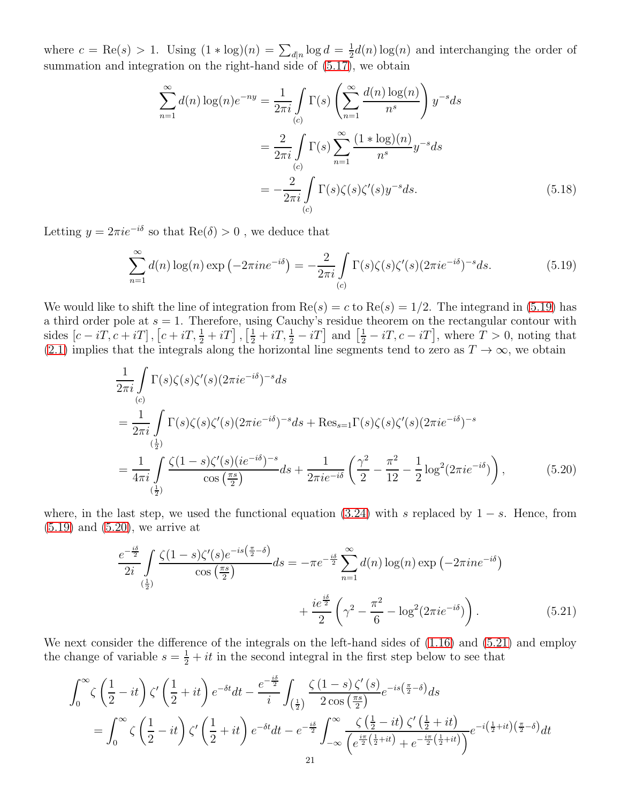where  $c = \text{Re}(s) > 1$ . Using  $(1 * \log)(n) = \sum_{d|n} \log d = \frac{1}{2}$  $\frac{1}{2}d(n)\log(n)$  and interchanging the order of summation and integration on the right-hand side of [\(5.17\)](#page-19-1), we obtain

<span id="page-20-3"></span>
$$
\sum_{n=1}^{\infty} d(n) \log(n) e^{-ny} = \frac{1}{2\pi i} \int_{(c)} \Gamma(s) \left( \sum_{n=1}^{\infty} \frac{d(n) \log(n)}{n^s} \right) y^{-s} ds
$$

$$
= \frac{2}{2\pi i} \int_{(c)} \Gamma(s) \sum_{n=1}^{\infty} \frac{(1 * \log)(n)}{n^s} y^{-s} ds
$$

$$
= -\frac{2}{2\pi i} \int_{(c)} \Gamma(s) \zeta(s) \zeta'(s) y^{-s} ds. \tag{5.18}
$$

Letting  $y = 2\pi i e^{-i\delta}$  so that  $\text{Re}(\delta) > 0$ , we deduce that

<span id="page-20-0"></span>
$$
\sum_{n=1}^{\infty} d(n) \log(n) \exp\left(-2\pi i n e^{-i\delta}\right) = -\frac{2}{2\pi i} \int_{(c)} \Gamma(s)\zeta(s)\zeta'(s) (2\pi i e^{-i\delta})^{-s} ds. \tag{5.19}
$$

We would like to shift the line of integration from  $\text{Re}(s) = c$  to  $\text{Re}(s) = 1/2$ . The integrand in [\(5.19\)](#page-20-0) has a third order pole at  $s = 1$ . Therefore, using Cauchy's residue theorem on the rectangular contour with sides  $[c - iT, c + iT]$ ,  $[c + iT, \frac{1}{2} + iT]$ ,  $[\frac{1}{2} + iT, \frac{1}{2} - iT]$  and  $[\frac{1}{2} - iT, c - iT]$ , where  $T > 0$ , noting that [\(2.1\)](#page-4-4) implies that the integrals along the horizontal line segments tend to zero as  $T \to \infty$ , we obtain

<span id="page-20-1"></span>
$$
\frac{1}{2\pi i} \int_{(c)} \Gamma(s)\zeta(s)\zeta'(s)(2\pi i e^{-i\delta})^{-s} ds
$$
\n
$$
= \frac{1}{2\pi i} \int_{(\frac{1}{2})} \Gamma(s)\zeta(s)\zeta'(s)(2\pi i e^{-i\delta})^{-s} ds + \text{Res}_{s=1} \Gamma(s)\zeta(s)\zeta'(s)(2\pi i e^{-i\delta})^{-s}
$$
\n
$$
= \frac{1}{4\pi i} \int_{(\frac{1}{2})} \frac{\zeta(1-s)\zeta'(s)(ie^{-i\delta})^{-s}}{\cos(\frac{\pi s}{2})} ds + \frac{1}{2\pi i e^{-i\delta}} \left(\frac{\gamma^2}{2} - \frac{\pi^2}{12} - \frac{1}{2}\log^2(2\pi i e^{-i\delta})\right),\tag{5.20}
$$

where, in the last step, we used the functional equation [\(3.24\)](#page-10-4) with s replaced by  $1 - s$ . Hence, from  $(5.19)$  and  $(5.20)$ , we arrive at

<span id="page-20-2"></span>
$$
\frac{e^{-\frac{i\delta}{2}}}{2i} \int \frac{\zeta(1-s)\zeta'(s)e^{-is(\frac{\pi}{2}-\delta)}}{\cos(\frac{\pi s}{2})} ds = -\pi e^{-\frac{i\delta}{2}} \sum_{n=1}^{\infty} d(n) \log(n) \exp\left(-2\pi i n e^{-i\delta}\right) + \frac{ie^{\frac{i\delta}{2}}}{2} \left(\gamma^2 - \frac{\pi^2}{6} - \log^2(2\pi i e^{-i\delta})\right). \tag{5.21}
$$

We next consider the difference of the integrals on the left-hand sides of  $(1.16)$  and  $(5.21)$  and employ the change of variable  $s = \frac{1}{2} + it$  in the second integral in the first step below to see that

$$
\int_0^\infty \zeta \left(\frac{1}{2} - it\right) \zeta' \left(\frac{1}{2} + it\right) e^{-\delta t} dt - \frac{e^{-\frac{i\delta}{2}}}{i} \int_{\left(\frac{1}{2}\right)} \frac{\zeta (1-s) \zeta'(s)}{2 \cos\left(\frac{\pi s}{2}\right)} e^{-is\left(\frac{\pi}{2}-\delta\right)} ds
$$
  
= 
$$
\int_0^\infty \zeta \left(\frac{1}{2} - it\right) \zeta' \left(\frac{1}{2} + it\right) e^{-\delta t} dt - e^{-\frac{i\delta}{2}} \int_{-\infty}^\infty \frac{\zeta \left(\frac{1}{2} - it\right) \zeta' \left(\frac{1}{2} + it\right)}{\left(e^{\frac{i\pi}{2}\left(\frac{1}{2} + it\right)} + e^{-\frac{i\pi}{2}\left(\frac{1}{2} + it\right)}\right)} e^{-i\left(\frac{1}{2} + it\right) \left(\frac{\pi}{2} - \delta\right)} dt
$$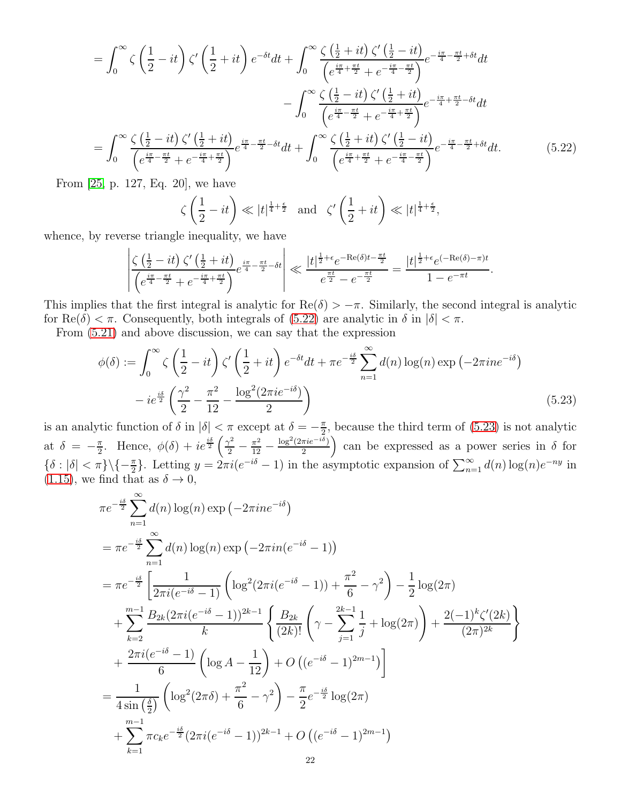$$
= \int_0^\infty \zeta \left(\frac{1}{2} - it\right) \zeta' \left(\frac{1}{2} + it\right) e^{-\delta t} dt + \int_0^\infty \frac{\zeta \left(\frac{1}{2} + it\right) \zeta' \left(\frac{1}{2} - it\right)}{\left(e^{\frac{i\pi}{4} + \frac{\pi t}{2}} + e^{-\frac{i\pi}{4} - \frac{\pi t}{2}}\right)} e^{-\frac{i\pi}{4} - \frac{\pi t}{2} + \delta t} dt
$$

$$
- \int_0^\infty \frac{\zeta \left(\frac{1}{2} - it\right) \zeta' \left(\frac{1}{2} + it\right)}{\left(e^{\frac{i\pi}{4} - \frac{\pi t}{2}} + e^{-\frac{i\pi}{4} + \frac{\pi t}{2}}\right)} e^{-\frac{i\pi}{4} + \frac{\pi t}{2} - \delta t} dt
$$

$$
= \int_0^\infty \frac{\zeta \left(\frac{1}{2} - it\right) \zeta' \left(\frac{1}{2} + it\right)}{\left(e^{\frac{i\pi}{4} - \frac{\pi t}{2}} + e^{-\frac{\pi t}{4} + \frac{\pi t}{2}}\right)} e^{\frac{i\pi}{4} - \frac{\pi t}{2} - \delta t} dt + \int_0^\infty \frac{\zeta \left(\frac{1}{2} + it\right) \zeta' \left(\frac{1}{2} - it\right)}{\left(e^{\frac{i\pi}{4} + \frac{\pi t}{2}} + e^{-\frac{i\pi}{4} - \frac{\pi t}{2}}\right)} e^{-\frac{i\pi}{4} - \frac{\pi t}{2} + \delta t} dt.
$$
(5.22)

From [\[25,](#page-23-20) p. 127, Eq. 20], we have

<span id="page-21-1"></span><span id="page-21-0"></span>
$$
\zeta\left(\frac{1}{2} - it\right) \ll |t|^{\frac{1}{4} + \frac{\epsilon}{2}} \quad \text{and} \quad \zeta'\left(\frac{1}{2} + it\right) \ll |t|^{\frac{1}{4} + \frac{\epsilon}{2}},
$$

whence, by reverse triangle inequality, we have

$$
\left| \frac{\zeta\left(\frac{1}{2} - it\right)\zeta'\left(\frac{1}{2} + it\right)}{\left(e^{\frac{i\pi}{4} - \frac{\pi t}{2}} + e^{-\frac{i\pi}{4} + \frac{\pi t}{2}}\right)} e^{\frac{i\pi}{4} - \frac{\pi t}{2} - \delta t} \right| \ll \frac{|t|^{\frac{1}{2} + \epsilon} e^{-\text{Re}(\delta)t - \frac{\pi t}{2}}}{e^{\frac{\pi t}{2}} - e^{-\frac{\pi t}{2}}} = \frac{|t|^{\frac{1}{2} + \epsilon} e^{(-\text{Re}(\delta) - \pi)t}}{1 - e^{-\pi t}}.
$$

This implies that the first integral is analytic for  $\text{Re}(\delta) > -\pi$ . Similarly, the second integral is analytic for  $\text{Re}(\delta) < \pi$ . Consequently, both integrals of [\(5.22\)](#page-21-0) are analytic in  $\delta$  in  $|\delta| < \pi$ .

From [\(5.21\)](#page-20-2) and above discussion, we can say that the expression

$$
\phi(\delta) := \int_0^\infty \zeta \left(\frac{1}{2} - it\right) \zeta' \left(\frac{1}{2} + it\right) e^{-\delta t} dt + \pi e^{-\frac{i\delta}{2}} \sum_{n=1}^\infty d(n) \log(n) \exp\left(-2\pi i n e^{-i\delta}\right)
$$

$$
-ie^{\frac{i\delta}{2}} \left(\frac{\gamma^2}{2} - \frac{\pi^2}{12} - \frac{\log^2(2\pi i e^{-i\delta})}{2}\right)
$$
(5.23)

is an analytic function of  $\delta$  in  $|\delta| < \pi$  except at  $\delta = -\frac{\pi}{2}$  $\frac{\pi}{2}$ , because the third term of [\(5.23\)](#page-21-1) is not analytic at  $\delta = -\frac{\pi}{2}$  $\frac{\pi}{2}$ . Hence,  $\phi(\delta) + ie^{\frac{i\delta}{2}} \left( \frac{\gamma^2}{2} - \frac{\pi^2}{12} - \frac{\pi^2}{2} \right)$  $\log^2(2\pi i e^{-i\delta})$  $\frac{\pi i e^{-i\delta}}{2}$  can be expressed as a power series in  $\delta$  for  ${\delta : |\delta| < \pi} \setminus {\{-\frac{\pi}{2}\}}$ . Letting  $y = 2\pi i (e^{-i\delta} - 1)$  in the asymptotic expansion of  $\sum_{n=1}^{\infty} d(n) \log(n) e^{-ny}$  in [\(1.15\)](#page-3-3), we find that as  $\delta \to 0$ ,

$$
\pi e^{-\frac{i\delta}{2}} \sum_{n=1}^{\infty} d(n) \log(n) \exp(-2\pi i n e^{-i\delta})
$$
\n
$$
= \pi e^{-\frac{i\delta}{2}} \sum_{n=1}^{\infty} d(n) \log(n) \exp(-2\pi i n (e^{-i\delta} - 1))
$$
\n
$$
= \pi e^{-\frac{i\delta}{2}} \left[ \frac{1}{2\pi i (e^{-i\delta} - 1)} \left( \log^2(2\pi i (e^{-i\delta} - 1)) + \frac{\pi^2}{6} - \gamma^2 \right) - \frac{1}{2} \log(2\pi) \right.
$$
\n
$$
+ \sum_{k=2}^{m-1} \frac{B_{2k} (2\pi i (e^{-i\delta} - 1))^{2k-1}}{k} \left\{ \frac{B_{2k}}{(2k)!} \left( \gamma - \sum_{j=1}^{2k-1} \frac{1}{j} + \log(2\pi) \right) + \frac{2(-1)^k \zeta'(2k)}{(2\pi)^{2k}} \right\}
$$
\n
$$
+ \frac{2\pi i (e^{-i\delta} - 1)}{6} \left( \log A - \frac{1}{12} \right) + O\left( (e^{-i\delta} - 1)^{2m-1} \right)
$$
\n
$$
= \frac{1}{4 \sin\left(\frac{\delta}{2}\right)} \left( \log^2(2\pi\delta) + \frac{\pi^2}{6} - \gamma^2 \right) - \frac{\pi}{2} e^{-\frac{i\delta}{2}} \log(2\pi)
$$
\n
$$
+ \sum_{k=1}^{m-1} \pi c_k e^{-\frac{i\delta}{2}} (2\pi i (e^{-i\delta} - 1))^{2k-1} + O\left( (e^{-i\delta} - 1)^{2m-1} \right)
$$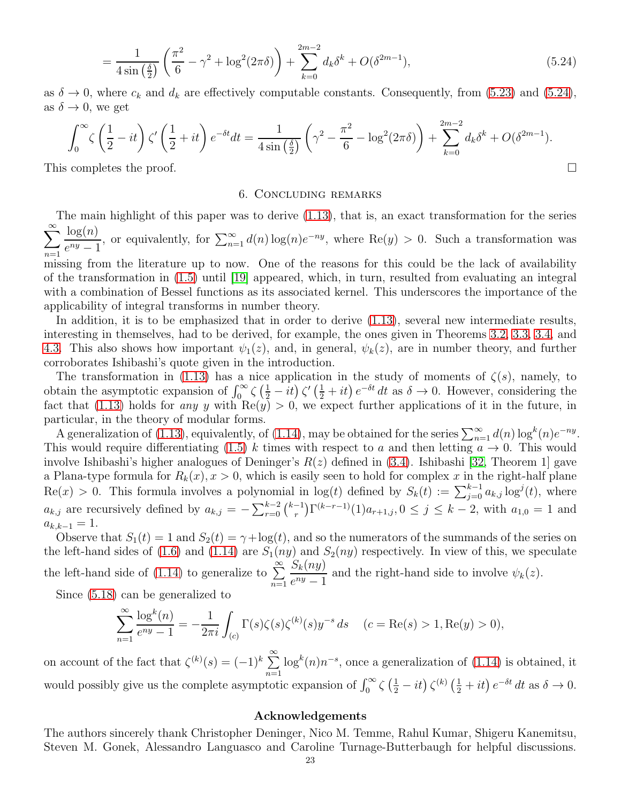$$
= \frac{1}{4\sin\left(\frac{\delta}{2}\right)} \left(\frac{\pi^2}{6} - \gamma^2 + \log^2(2\pi\delta)\right) + \sum_{k=0}^{2m-2} d_k \delta^k + O(\delta^{2m-1}),\tag{5.24}
$$

as  $\delta \to 0$ , where  $c_k$  and  $d_k$  are effectively computable constants. Consequently, from [\(5.23\)](#page-21-1) and [\(5.24\)](#page-22-0), as  $\delta \rightarrow 0$ , we get

$$
\int_0^{\infty} \zeta \left(\frac{1}{2} - it\right) \zeta' \left(\frac{1}{2} + it\right) e^{-\delta t} dt = \frac{1}{4 \sin\left(\frac{\delta}{2}\right)} \left(\gamma^2 - \frac{\pi^2}{6} - \log^2(2\pi\delta)\right) + \sum_{k=0}^{2m-2} d_k \delta^k + O(\delta^{2m-1}).
$$
  
This completes the proof.

## <span id="page-22-0"></span>6. Concluding remarks

The main highlight of this paper was to derive [\(1.13\)](#page-3-1), that is, an exact transformation for the series  $\sum_{\infty}^{\infty}$  $n=1$  $log(n)$  $e^{ny}-1$ , or equivalently, for  $\sum_{n=1}^{\infty} d(n) \log(n) e^{-ny}$ , where Re(y) > 0. Such a transformation was missing from the literature up to now. One of the reasons for this could be the lack of availability of the transformation in [\(1.5\)](#page-1-1) until [\[19\]](#page-23-8) appeared, which, in turn, resulted from evaluating an integral with a combination of Bessel functions as its associated kernel. This underscores the importance of the applicability of integral transforms in number theory.

In addition, it is to be emphasized that in order to derive [\(1.13\)](#page-3-1), several new intermediate results, interesting in themselves, had to be derived, for example, the ones given in Theorems [3.2,](#page-7-0) [3.3,](#page-9-0) [3.4,](#page-10-0) and [4.3.](#page-13-7) This also shows how important  $\psi_1(z)$ , and, in general,  $\psi_k(z)$ , are in number theory, and further corroborates Ishibashi's quote given in the introduction.

The transformation in [\(1.13\)](#page-3-1) has a nice application in the study of moments of  $\zeta(s)$ , namely, to obtain the asymptotic expansion of  $\int_0^\infty \zeta \left(\frac{1}{2} - it\right) \zeta' \left(\frac{1}{2} + it\right) e^{-\delta t} dt$  as  $\delta \to 0$ . However, considering the fact that [\(1.13\)](#page-3-1) holds for any y with  $\text{Re}(y) > 0$ , we expect further applications of it in the future, in particular, in the theory of modular forms.

A generalization of [\(1.13\)](#page-3-1), equivalently, of [\(1.14\)](#page-3-4), may be obtained for the series  $\sum_{n=1}^{\infty} d(n) \log^k(n) e^{-ny}$ . This would require differentiating [\(1.5\)](#page-1-1) k times with respect to a and then letting  $a \to 0$ . This would involve Ishibashi's higher analogues of Deninger's  $R(z)$  defined in [\(3.4\)](#page-6-5). Ishibashi [\[32,](#page-24-14) Theorem 1] gave a Plana-type formula for  $R_k(x)$ ,  $x > 0$ , which is easily seen to hold for complex x in the right-half plane  $\text{Re}(x) > 0$ . This formula involves a polynomial in  $\log(t)$  defined by  $S_k(t) := \sum_{j=0}^{k-1} a_{k,j} \log^j(t)$ , where  $a_{k,j}$  are recursively defined by  $a_{k,j} = -\sum_{r=0}^{k-2} {k-1 \choose r} \Gamma^{(k-r-1)}(1) a_{r+1,j}$ ,  $0 \le j \le k-2$ , with  $a_{1,0} = 1$  and  $a_{k,k-1} = 1.$ 

Observe that  $S_1(t) = 1$  and  $S_2(t) = \gamma + \log(t)$ , and so the numerators of the summands of the series on the left-hand sides of [\(1.6\)](#page-1-5) and [\(1.14\)](#page-3-4) are  $S_1(ny)$  and  $S_2(ny)$  respectively. In view of this, we speculate the left-hand side of [\(1.14\)](#page-3-4) to generalize to  $\sum^{\infty}$  $n=1$  $S_k(ny)$  $\frac{\partial E_K(v, y)}{\partial e^{ny} - 1}$  and the right-hand side to involve  $\psi_k(z)$ .

Since [\(5.18\)](#page-20-3) can be generalized to

$$
\sum_{n=1}^{\infty} \frac{\log^k(n)}{e^{ny} - 1} = -\frac{1}{2\pi i} \int_{(c)} \Gamma(s)\zeta(s)\zeta^{(k)}(s)y^{-s} ds \quad (c = \text{Re}(s) > 1, \text{Re}(y) > 0),
$$

on account of the fact that  $\zeta^{(k)}(s) = (-1)^k \sum_{n=1}^{\infty} \log^k(n) n^{-s}$ , once a generalization of [\(1.14\)](#page-3-4) is obtained, it  $n=1$ would possibly give us the complete asymptotic expansion of  $\int_0^\infty \zeta \left(\frac{1}{2} - it\right) \zeta^{(k)} \left(\frac{1}{2} + it\right) e^{-\delta t} dt$  as  $\delta \to 0$ .

## Acknowledgements

The authors sincerely thank Christopher Deninger, Nico M. Temme, Rahul Kumar, Shigeru Kanemitsu, Steven M. Gonek, Alessandro Languasco and Caroline Turnage-Butterbaugh for helpful discussions.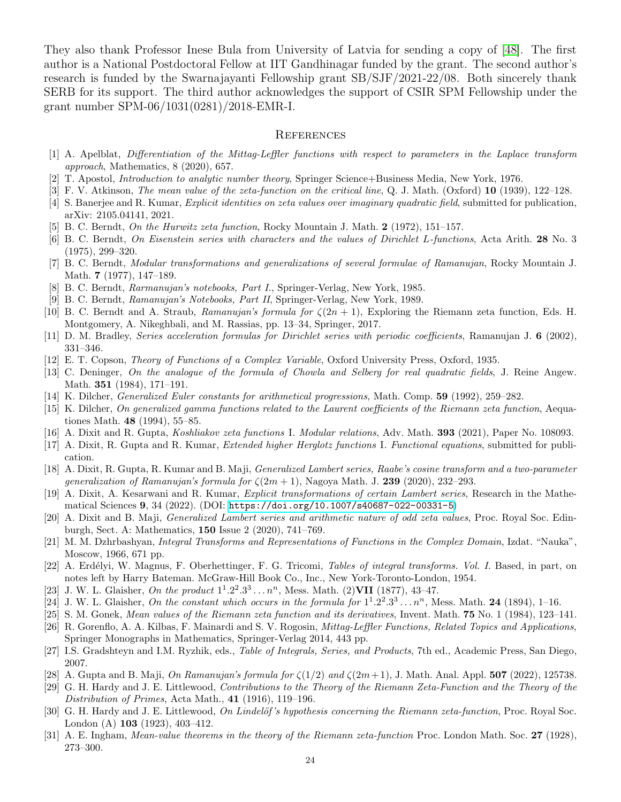They also thank Professor Inese Bula from University of Latvia for sending a copy of [\[48\]](#page-24-19). The first author is a National Postdoctoral Fellow at IIT Gandhinagar funded by the grant. The second author's research is funded by the Swarnajayanti Fellowship grant SB/SJF/2021-22/08. Both sincerely thank SERB for its support. The third author acknowledges the support of CSIR SPM Fellowship under the grant number SPM-06/1031(0281)/2018-EMR-I.

#### **REFERENCES**

- <span id="page-23-28"></span>[1] A. Apelblat, Differentiation of the Mittag-Leffler functions with respect to parameters in the Laplace transform approach, Mathematics, 8 (2020), 657.
- <span id="page-23-16"></span><span id="page-23-15"></span>[2] T. Apostol, Introduction to analytic number theory, Springer Science+Business Media, New York, 1976.
- <span id="page-23-1"></span>[3] F. V. Atkinson, *The mean value of the zeta-function on the critical line*, Q. J. Math. (Oxford) **10** (1939), 122–128.
- <span id="page-23-24"></span>[4] S. Banerjee and R. Kumar, *Explicit identities on zeta values over imaginary quadratic field*, submitted for publication, arXiv: 2105.04141, 2021.
- <span id="page-23-2"></span>[5] B. C. Berndt, On the Hurwitz zeta function, Rocky Mountain J. Math. 2 (1972), 151–157.
- [6] B. C. Berndt, On Eisenstein series with characters and the values of Dirichlet L-functions, Acta Arith. 28 No. 3 (1975), 299–320.
- <span id="page-23-3"></span>[7] B. C. Berndt, Modular transformations and generalizations of several formulae of Ramanujan, Rocky Mountain J. Math. 7 (1977), 147–189.
- <span id="page-23-23"></span><span id="page-23-0"></span>[8] B. C. Berndt, Rarmanujan's notebooks, Part I., Springer-Verlag, New York, 1985.
- <span id="page-23-11"></span>[9] B. C. Berndt, Ramanujan's Notebooks, Part II, Springer-Verlag, New York, 1989.
- <span id="page-23-4"></span>[10] B. C. Berndt and A. Straub, Ramanujan's formula for  $\zeta(2n+1)$ , Exploring the Riemann zeta function, Eds. H. Montgomery, A. Nikeghbali, and M. Rassias, pp. 13–34, Springer, 2017.
- <span id="page-23-21"></span>[11] D. M. Bradley, Series acceleration formulas for Dirichlet series with periodic coefficients, Ramanujan J. 6 (2002), 331–346.
- <span id="page-23-17"></span>[12] E. T. Copson, Theory of Functions of a Complex Variable, Oxford University Press, Oxford, 1935.
- [13] C. Deninger, On the analogue of the formula of Chowla and Selberg for real quadratic fields, J. Reine Angew. Math. 351 (1984), 171–191.
- <span id="page-23-25"></span><span id="page-23-22"></span>[14] K. Dilcher, *Generalized Euler constants for arithmetical progressions*, Math. Comp. **59** (1992), 259–282.
- [15] K. Dilcher, On generalized gamma functions related to the Laurent coefficients of the Riemann zeta function, Aequationes Math. 48 (1994), 55–85.
- <span id="page-23-6"></span><span id="page-23-5"></span>[16] A. Dixit and R. Gupta, Koshliakov zeta functions I. Modular relations, Adv. Math. 393 (2021), Paper No. 108093.
- <span id="page-23-7"></span>[17] A. Dixit, R. Gupta and R. Kumar, Extended higher Herglotz functions I. Functional equations, submitted for publication.
- [18] A. Dixit, R. Gupta, R. Kumar and B. Maji, Generalized Lambert series, Raabe's cosine transform and a two-parameter generalization of Ramanujan's formula for  $\zeta(2m+1)$ , Nagoya Math. J. 239 (2020), 232–293.
- <span id="page-23-8"></span>[19] A. Dixit, A. Kesarwani and R. Kumar, Explicit transformations of certain Lambert series, Research in the Mathematical Sciences 9, 34 (2022). (DOI: <https://doi.org/10.1007/s40687-022-00331-5>)
- <span id="page-23-9"></span>[20] A. Dixit and B. Maji, Generalized Lambert series and arithmetic nature of odd zeta values, Proc. Royal Soc. Edinburgh, Sect. A: Mathematics, 150 Issue 2 (2020), 741–769.
- <span id="page-23-29"></span>[21] M. M. Dzhrbashyan, Integral Transforms and Representations of Functions in the Complex Domain, Izdat. "Nauka", Moscow, 1966, 671 pp.
- <span id="page-23-30"></span>[22] A. Erdélyi, W. Magnus, F. Oberhettinger, F. G. Tricomi, Tables of integral transforms. Vol. I. Based, in part, on notes left by Harry Bateman. McGraw-Hill Book Co., Inc., New York-Toronto-London, 1954.
- <span id="page-23-19"></span><span id="page-23-18"></span>[23] J. W. L. Glaisher, On the product  $1^1.2^2.3^3 \ldots n^n$ , Mess. Math. (2) VII (1877), 43-47.
- <span id="page-23-20"></span>[24] J. W. L. Glaisher, On the constant which occurs in the formula for  $1^1.2^2.3^3...n^n$ , Mess. Math. 24 (1894), 1–16.
- <span id="page-23-27"></span>[25] S. M. Gonek, Mean values of the Riemann zeta function and its derivatives, Invent. Math. 75 No. 1 (1984), 123–141.
- [26] R. Gorenflo, A. A. Kilbas, F. Mainardi and S. V. Rogosin, Mittag-Leffler Functions, Related Topics and Applications, Springer Monographs in Mathematics, Springer-Verlag 2014, 443 pp.
- <span id="page-23-26"></span><span id="page-23-10"></span>[27] I.S. Gradshteyn and I.M. Ryzhik, eds., Table of Integrals, Series, and Products, 7th ed., Academic Press, San Diego, 2007.
- <span id="page-23-12"></span>[28] A. Gupta and B. Maji, *On Ramanujan's formula for*  $\zeta(1/2)$  and  $\zeta(2m+1)$ , J. Math. Anal. Appl. **507** (2022), 125738.
- [29] G. H. Hardy and J. E. Littlewood, Contributions to the Theory of the Riemann Zeta-Function and the Theory of the Distribution of Primes, Acta Math., 41 (1916), 119–196.
- <span id="page-23-14"></span>[30] G. H. Hardy and J. E. Littlewood, On Lindelöf's hypothesis concerning the Riemann zeta-function, Proc. Royal Soc. London (A) 103 (1923), 403–412.
- <span id="page-23-13"></span>[31] A. E. Ingham, Mean-value theorems in the theory of the Riemann zeta-function Proc. London Math. Soc. 27 (1928), 273–300.